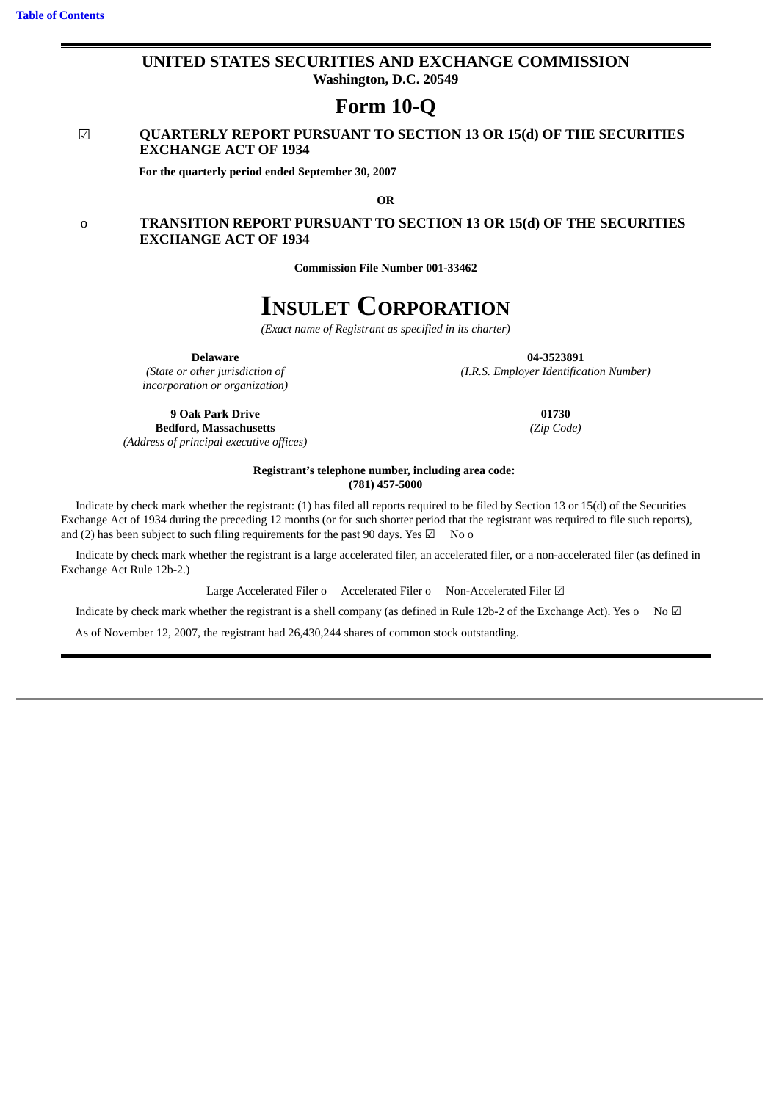### **UNITED STATES SECURITIES AND EXCHANGE COMMISSION Washington, D.C. 20549**

**Form 10-Q**

### ☑ **QUARTERLY REPORT PURSUANT TO SECTION 13 OR 15(d) OF THE SECURITIES EXCHANGE ACT OF 1934**

**For the quarterly period ended September 30, 2007**

**OR**

### o **TRANSITION REPORT PURSUANT TO SECTION 13 OR 15(d) OF THE SECURITIES EXCHANGE ACT OF 1934**

**Commission File Number 001-33462**

# **INSULET CORPORATION**

*(Exact name of Registrant as specified in its charter)*

*incorporation or organization)*

*(Address of principal executive offices)*

**Delaware 04-3523891** *(State or other jurisdiction of (I.R.S. Employer Identification Number)*

**9 Oak Park Drive 01730 Bedford, Massachusetts** *(Zip Code)*

#### **Registrant's telephone number, including area code: (781) 457-5000**

Indicate by check mark whether the registrant: (1) has filed all reports required to be filed by Section 13 or 15(d) of the Securities Exchange Act of 1934 during the preceding 12 months (or for such shorter period that the registrant was required to file such reports), and (2) has been subject to such filing requirements for the past 90 days. Yes  $\boxtimes$  No o

Indicate by check mark whether the registrant is a large accelerated filer, an accelerated filer, or a non-accelerated filer (as defined in Exchange Act Rule 12b-2.)

Large Accelerated Filer o Accelerated Filer o Non-Accelerated Filer **☑** 

Indicate by check mark whether the registrant is a shell company (as defined in Rule 12b-2 of the Exchange Act). Yes o No  $\boxtimes$ 

As of November 12, 2007, the registrant had 26,430,244 shares of common stock outstanding.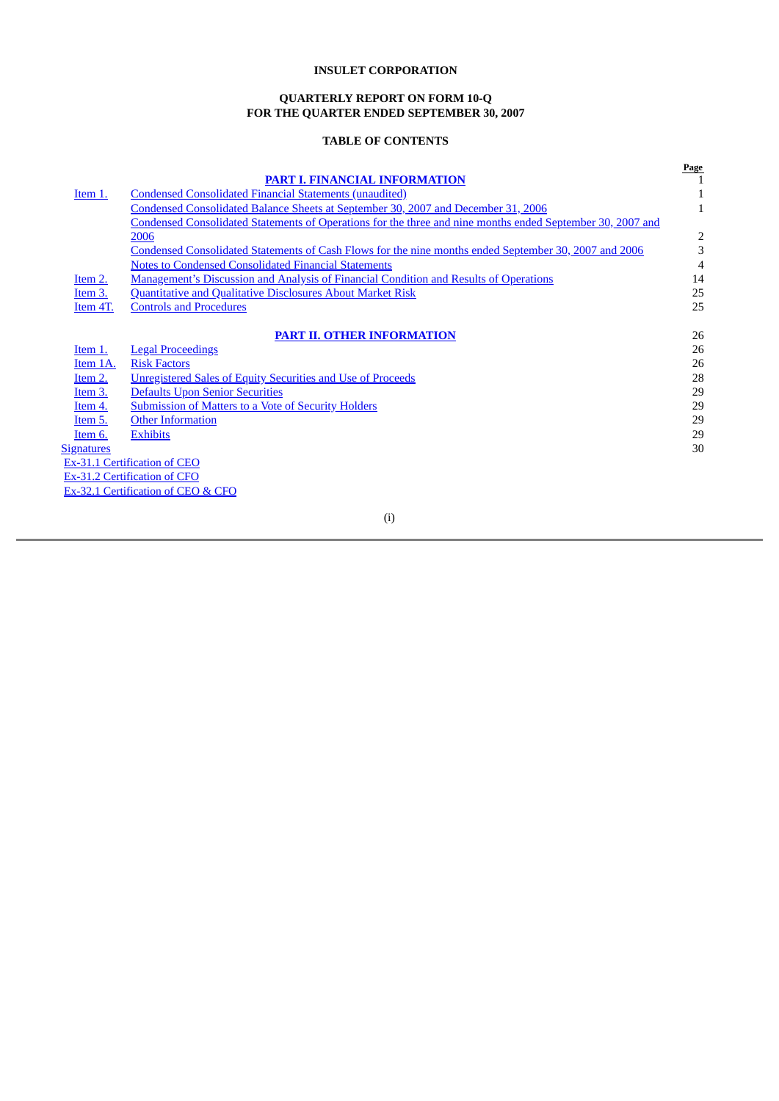#### **QUARTERLY REPORT ON FORM 10-Q FOR THE QUARTER ENDED SEPTEMBER 30, 2007**

## **TABLE OF CONTENTS**

<span id="page-2-0"></span>

|                   |                                                                                                            | Page |
|-------------------|------------------------------------------------------------------------------------------------------------|------|
|                   | <b>PART I. FINANCIAL INFORMATION</b>                                                                       |      |
| Item 1.           | <b>Condensed Consolidated Financial Statements (unaudited)</b>                                             |      |
|                   | Condensed Consolidated Balance Sheets at September 30, 2007 and December 31, 2006                          | 1    |
|                   | Condensed Consolidated Statements of Operations for the three and nine months ended September 30, 2007 and |      |
|                   | 2006                                                                                                       | 2    |
|                   | Condensed Consolidated Statements of Cash Flows for the nine months ended September 30, 2007 and 2006      | 3    |
|                   | <b>Notes to Condensed Consolidated Financial Statements</b>                                                | 4    |
| Item 2.           | Management's Discussion and Analysis of Financial Condition and Results of Operations                      | 14   |
| Item 3.           | <b>Quantitative and Qualitative Disclosures About Market Risk</b>                                          | 25   |
| Item 4T.          | <b>Controls and Procedures</b>                                                                             | 25   |
|                   |                                                                                                            |      |
|                   | <b>PART II. OTHER INFORMATION</b>                                                                          | 26   |
| Item 1.           | <b>Legal Proceedings</b>                                                                                   | 26   |
| Item 1A.          | <b>Risk Factors</b>                                                                                        | 26   |
| Item 2.           | Unregistered Sales of Equity Securities and Use of Proceeds                                                | 28   |
| $Item 3$ .        | <b>Defaults Upon Senior Securities</b>                                                                     | 29   |
| <u>Item 4.</u>    | <b>Submission of Matters to a Vote of Security Holders</b>                                                 | 29   |
| Item 5.           | <b>Other Information</b>                                                                                   | 29   |
| Item 6.           | <b>Exhibits</b>                                                                                            | 29   |
| <b>Signatures</b> |                                                                                                            | 30   |
|                   | Ex-31.1 Certification of CEO                                                                               |      |
|                   | Ex-31.2 Certification of CFO                                                                               |      |
|                   | Ex-32.1 Certification of CEO & CFO                                                                         |      |

(i)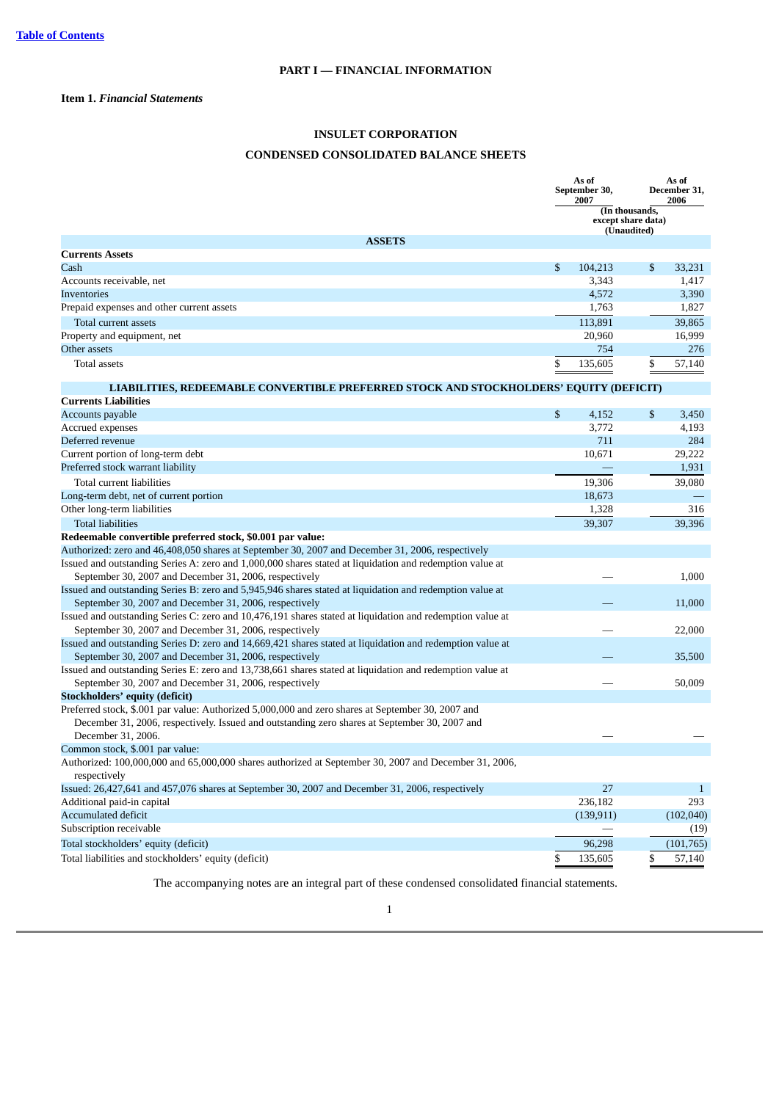### <span id="page-3-2"></span><span id="page-3-1"></span><span id="page-3-0"></span>**Item 1.** *Financial Statements*

## **INSULET CORPORATION**

### **CONDENSED CONSOLIDATED BALANCE SHEETS**

|                                                                                                                                                                     | As of<br>September 30,<br>2007 |                                                     | As of<br>December 31,<br>2006 |
|---------------------------------------------------------------------------------------------------------------------------------------------------------------------|--------------------------------|-----------------------------------------------------|-------------------------------|
|                                                                                                                                                                     |                                | (In thousands,<br>except share data)<br>(Unaudited) |                               |
| <b>ASSETS</b>                                                                                                                                                       |                                |                                                     |                               |
| <b>Currents Assets</b>                                                                                                                                              |                                |                                                     |                               |
| Cash                                                                                                                                                                | \$<br>104,213                  | \$                                                  | 33,231                        |
| Accounts receivable, net                                                                                                                                            | 3,343                          |                                                     | 1,417                         |
| <b>Inventories</b>                                                                                                                                                  | 4,572                          |                                                     | 3,390                         |
| Prepaid expenses and other current assets                                                                                                                           | 1,763                          |                                                     | 1,827                         |
| Total current assets                                                                                                                                                | 113,891                        |                                                     | 39,865                        |
| Property and equipment, net                                                                                                                                         | 20,960                         |                                                     | 16,999                        |
| Other assets                                                                                                                                                        | 754                            |                                                     | 276                           |
| <b>Total assets</b>                                                                                                                                                 | \$<br>135,605                  | \$                                                  | 57,140                        |
| LIABILITIES, REDEEMABLE CONVERTIBLE PREFERRED STOCK AND STOCKHOLDERS' EQUITY (DEFICIT)                                                                              |                                |                                                     |                               |
| <b>Currents Liabilities</b>                                                                                                                                         |                                |                                                     |                               |
| Accounts payable                                                                                                                                                    | \$<br>4,152                    | \$                                                  | 3,450                         |
| Accrued expenses                                                                                                                                                    | 3,772                          |                                                     | 4,193                         |
| Deferred revenue                                                                                                                                                    | 711                            |                                                     | 284                           |
| Current portion of long-term debt                                                                                                                                   | 10,671                         |                                                     | 29,222                        |
| Preferred stock warrant liability                                                                                                                                   |                                |                                                     | 1,931                         |
| Total current liabilities                                                                                                                                           | 19,306                         |                                                     | 39,080                        |
| Long-term debt, net of current portion                                                                                                                              | 18,673                         |                                                     |                               |
| Other long-term liabilities                                                                                                                                         | 1,328                          |                                                     | 316                           |
| <b>Total liabilities</b>                                                                                                                                            | 39,307                         |                                                     | 39,396                        |
| Redeemable convertible preferred stock, \$0.001 par value:                                                                                                          |                                |                                                     |                               |
| Authorized: zero and 46,408,050 shares at September 30, 2007 and December 31, 2006, respectively                                                                    |                                |                                                     |                               |
| Issued and outstanding Series A: zero and 1,000,000 shares stated at liquidation and redemption value at                                                            |                                |                                                     |                               |
| September 30, 2007 and December 31, 2006, respectively                                                                                                              |                                |                                                     | 1,000                         |
| Issued and outstanding Series B: zero and 5,945,946 shares stated at liquidation and redemption value at                                                            |                                |                                                     |                               |
| September 30, 2007 and December 31, 2006, respectively                                                                                                              |                                |                                                     | 11,000                        |
| Issued and outstanding Series C: zero and 10,476,191 shares stated at liquidation and redemption value at<br>September 30, 2007 and December 31, 2006, respectively |                                |                                                     | 22,000                        |
| Issued and outstanding Series D: zero and 14,669,421 shares stated at liquidation and redemption value at                                                           |                                |                                                     |                               |
| September 30, 2007 and December 31, 2006, respectively                                                                                                              |                                |                                                     | 35,500                        |
| Issued and outstanding Series E: zero and 13,738,661 shares stated at liquidation and redemption value at                                                           |                                |                                                     |                               |
| September 30, 2007 and December 31, 2006, respectively                                                                                                              |                                |                                                     | 50,009                        |
| <b>Stockholders' equity (deficit)</b>                                                                                                                               |                                |                                                     |                               |
| Preferred stock, \$.001 par value: Authorized 5,000,000 and zero shares at September 30, 2007 and                                                                   |                                |                                                     |                               |
| December 31, 2006, respectively. Issued and outstanding zero shares at September 30, 2007 and                                                                       |                                |                                                     |                               |
| December 31, 2006.                                                                                                                                                  |                                |                                                     |                               |
| Common stock, \$.001 par value:                                                                                                                                     |                                |                                                     |                               |
| Authorized: 100,000,000 and 65,000,000 shares authorized at September 30, 2007 and December 31, 2006,                                                               |                                |                                                     |                               |
| respectively                                                                                                                                                        |                                |                                                     |                               |
| Issued: 26,427,641 and 457,076 shares at September 30, 2007 and December 31, 2006, respectively                                                                     | 27                             |                                                     | $\mathbf{1}$                  |
| Additional paid-in capital                                                                                                                                          | 236,182                        |                                                     | 293                           |
| <b>Accumulated deficit</b>                                                                                                                                          | (139, 911)                     |                                                     | (102,040)                     |
| Subscription receivable                                                                                                                                             |                                |                                                     | (19)                          |
| Total stockholders' equity (deficit)                                                                                                                                | 96,298                         |                                                     | (101, 765)                    |
| Total liabilities and stockholders' equity (deficit)                                                                                                                | \$<br>135,605                  | \$                                                  | 57,140                        |

The accompanying notes are an integral part of these condensed consolidated financial statements.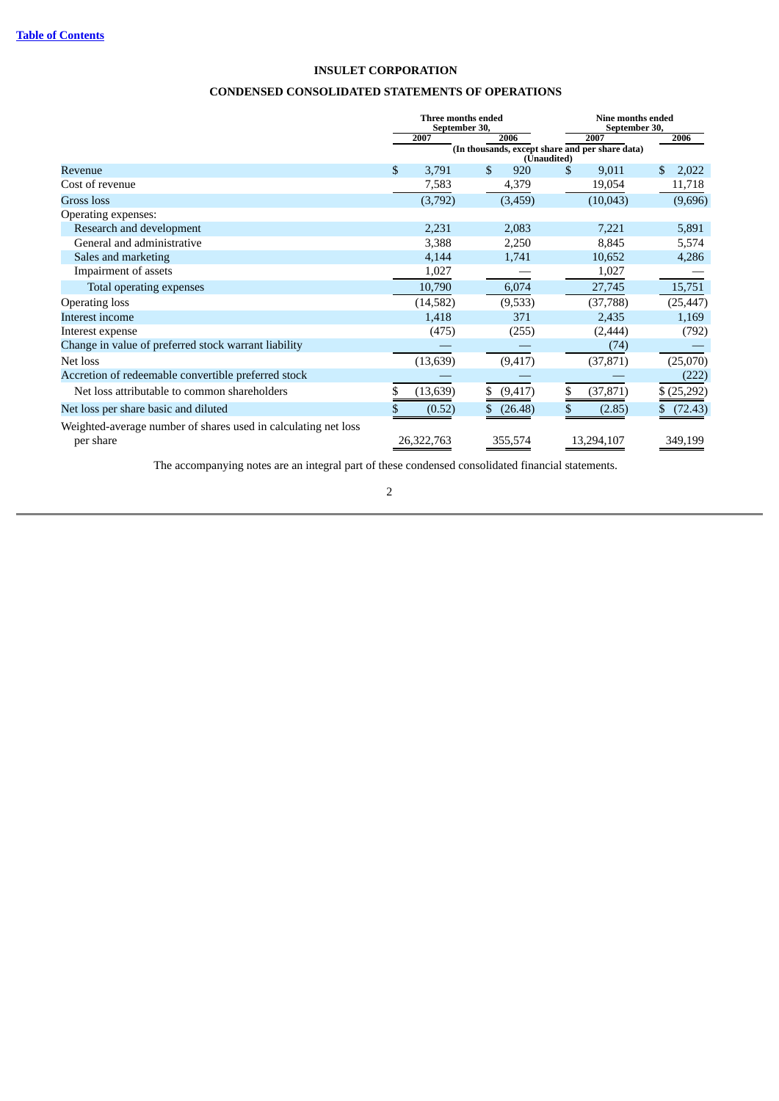### **CONDENSED CONSOLIDATED STATEMENTS OF OPERATIONS**

<span id="page-4-0"></span>

|                                                                             | Three months ended<br>September 30, |            |    |                                                                | Nine months ended<br>September 30, |            |    |            |
|-----------------------------------------------------------------------------|-------------------------------------|------------|----|----------------------------------------------------------------|------------------------------------|------------|----|------------|
|                                                                             |                                     | 2007       |    | 2006                                                           |                                    | 2007       |    | 2006       |
|                                                                             |                                     |            |    | (In thousands, except share and per share data)<br>(Unaudited) |                                    |            |    |            |
| Revenue                                                                     | $\mathbb{S}$                        | 3,791      | \$ | 920                                                            | \$                                 | 9,011      | \$ | 2,022      |
| Cost of revenue                                                             |                                     | 7,583      |    | 4,379                                                          |                                    | 19,054     |    | 11,718     |
| <b>Gross</b> loss                                                           |                                     | (3,792)    |    | (3,459)                                                        |                                    | (10, 043)  |    | (9,696)    |
| Operating expenses:                                                         |                                     |            |    |                                                                |                                    |            |    |            |
| Research and development                                                    |                                     | 2,231      |    | 2,083                                                          |                                    | 7,221      |    | 5,891      |
| General and administrative                                                  |                                     | 3,388      |    | 2,250                                                          |                                    | 8,845      |    | 5,574      |
| Sales and marketing                                                         |                                     | 4,144      |    | 1,741                                                          |                                    | 10,652     |    | 4,286      |
| Impairment of assets                                                        |                                     | 1,027      |    |                                                                |                                    | 1,027      |    |            |
| Total operating expenses                                                    |                                     | 10,790     |    | 6,074                                                          |                                    | 27,745     |    | 15,751     |
| <b>Operating loss</b>                                                       |                                     | (14,582)   |    | (9,533)                                                        |                                    | (37, 788)  |    | (25, 447)  |
| Interest income                                                             |                                     | 1,418      |    | 371                                                            |                                    | 2,435      |    | 1,169      |
| Interest expense                                                            |                                     | (475)      |    | (255)                                                          |                                    | (2, 444)   |    | (792)      |
| Change in value of preferred stock warrant liability                        |                                     |            |    |                                                                |                                    | (74)       |    |            |
| Net loss                                                                    |                                     | (13, 639)  |    | (9, 417)                                                       |                                    | (37, 871)  |    | (25,070)   |
| Accretion of redeemable convertible preferred stock                         |                                     |            |    |                                                                |                                    |            |    | (222)      |
| Net loss attributable to common shareholders                                | \$                                  | (13, 639)  | \$ | (9, 417)                                                       | \$                                 | (37, 871)  |    | \$(25,292) |
| Net loss per share basic and diluted                                        |                                     | (0.52)     | \$ | (26.48)                                                        |                                    | (2.85)     |    | (72.43)    |
| Weighted-average number of shares used in calculating net loss<br>per share |                                     | 26,322,763 |    | 355,574                                                        |                                    | 13,294,107 |    | 349,199    |

The accompanying notes are an integral part of these condensed consolidated financial statements.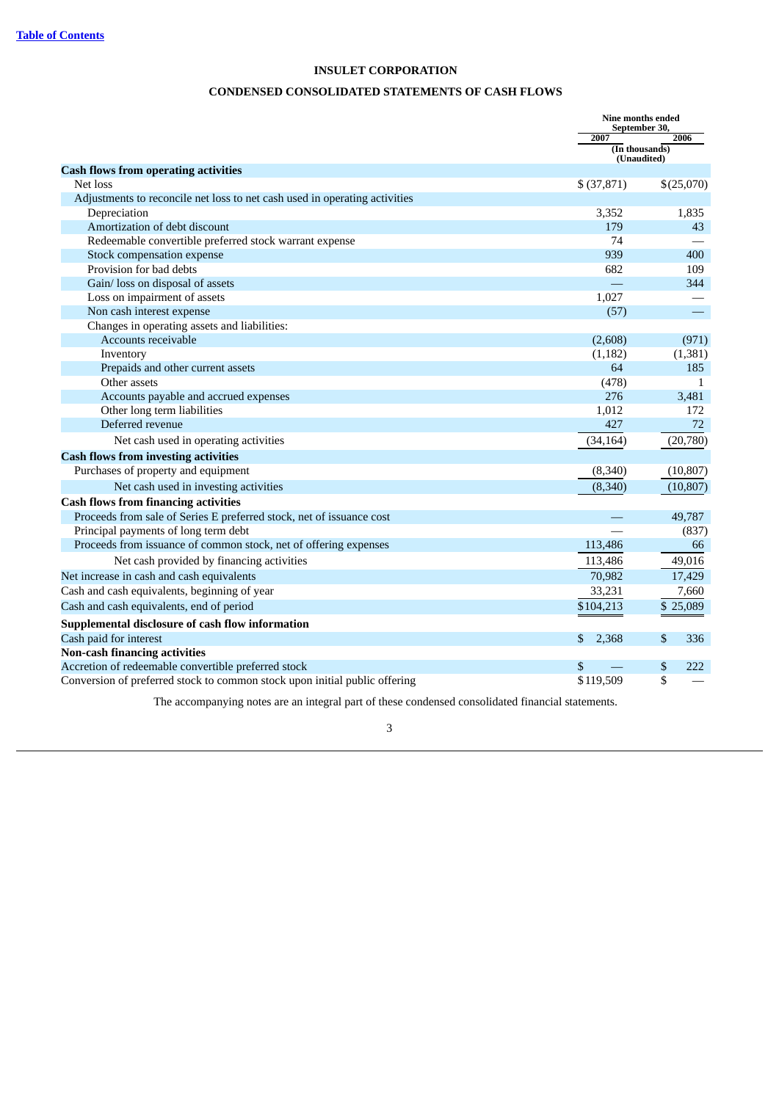### **CONDENSED CONSOLIDATED STATEMENTS OF CASH FLOWS**

<span id="page-5-0"></span>

|                                                                            |              | <b>Nine months ended</b><br>September 30, |
|----------------------------------------------------------------------------|--------------|-------------------------------------------|
|                                                                            | 2007         | 2006                                      |
|                                                                            |              | (In thousands)<br>(Unaudited)             |
| <b>Cash flows from operating activities</b>                                |              |                                           |
| Net loss                                                                   | \$ (37, 871) | \$(25,070)                                |
| Adjustments to reconcile net loss to net cash used in operating activities |              |                                           |
| Depreciation                                                               | 3,352        | 1,835                                     |
| Amortization of debt discount                                              | 179          | 43                                        |
| Redeemable convertible preferred stock warrant expense                     | 74           |                                           |
| Stock compensation expense                                                 | 939          | 400                                       |
| Provision for bad debts                                                    | 682          | 109                                       |
| Gain/ loss on disposal of assets                                           |              | 344                                       |
| Loss on impairment of assets                                               | 1,027        |                                           |
| Non cash interest expense                                                  | (57)         | ▀                                         |
| Changes in operating assets and liabilities:                               |              |                                           |
| Accounts receivable                                                        | (2,608)      | (971)                                     |
| Inventory                                                                  | (1, 182)     | (1, 381)                                  |
| Prepaids and other current assets                                          | 64           | 185                                       |
| Other assets                                                               | (478)        | 1                                         |
| Accounts payable and accrued expenses                                      | 276          | 3,481                                     |
| Other long term liabilities                                                | 1,012        | 172                                       |
| Deferred revenue                                                           | 427          | 72                                        |
| Net cash used in operating activities                                      | (34, 164)    | (20,780)                                  |
| <b>Cash flows from investing activities</b>                                |              |                                           |
| Purchases of property and equipment                                        | (8, 340)     | (10, 807)                                 |
| Net cash used in investing activities                                      | (8,340)      | (10, 807)                                 |
| <b>Cash flows from financing activities</b>                                |              |                                           |
| Proceeds from sale of Series E preferred stock, net of issuance cost       |              | 49,787                                    |
| Principal payments of long term debt                                       |              | (837)                                     |
| Proceeds from issuance of common stock, net of offering expenses           | 113,486      | 66                                        |
| Net cash provided by financing activities                                  | 113,486      | 49,016                                    |
| Net increase in cash and cash equivalents                                  | 70,982       | 17,429                                    |
| Cash and cash equivalents, beginning of year                               | 33,231       | 7,660                                     |
| Cash and cash equivalents, end of period                                   | \$104,213    | \$25,089                                  |
| Supplemental disclosure of cash flow information                           |              |                                           |
| Cash paid for interest                                                     | \$<br>2,368  | \$<br>336                                 |
| <b>Non-cash financing activities</b>                                       |              |                                           |
| Accretion of redeemable convertible preferred stock                        | \$           | \$<br>222                                 |
| Conversion of preferred stock to common stock upon initial public offering | \$119,509    | \$                                        |

The accompanying notes are an integral part of these condensed consolidated financial statements.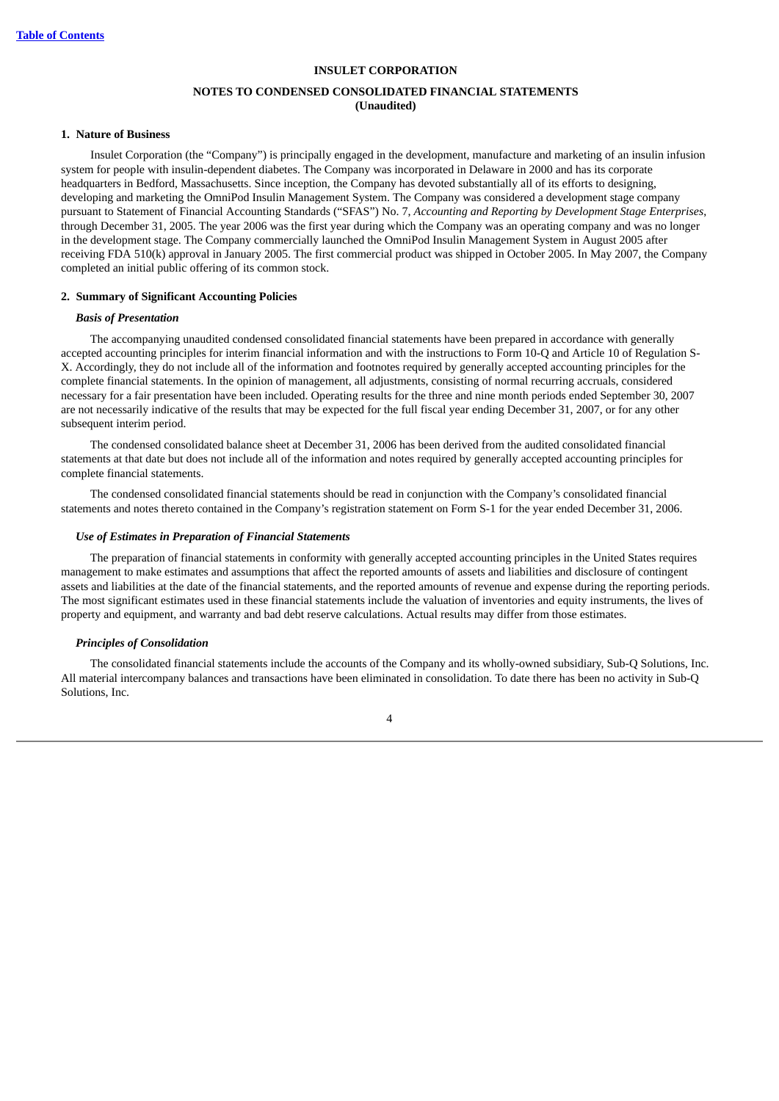### **NOTES TO CONDENSED CONSOLIDATED FINANCIAL STATEMENTS (Unaudited)**

#### <span id="page-6-0"></span>**1. Nature of Business**

Insulet Corporation (the "Company") is principally engaged in the development, manufacture and marketing of an insulin infusion system for people with insulin-dependent diabetes. The Company was incorporated in Delaware in 2000 and has its corporate headquarters in Bedford, Massachusetts. Since inception, the Company has devoted substantially all of its efforts to designing, developing and marketing the OmniPod Insulin Management System. The Company was considered a development stage company pursuant to Statement of Financial Accounting Standards ("SFAS") No. 7, *Accounting and Reporting by Development Stage Enterprises*, through December 31, 2005. The year 2006 was the first year during which the Company was an operating company and was no longer in the development stage. The Company commercially launched the OmniPod Insulin Management System in August 2005 after receiving FDA 510(k) approval in January 2005. The first commercial product was shipped in October 2005. In May 2007, the Company completed an initial public offering of its common stock.

#### **2. Summary of Significant Accounting Policies**

#### *Basis of Presentation*

The accompanying unaudited condensed consolidated financial statements have been prepared in accordance with generally accepted accounting principles for interim financial information and with the instructions to Form 10-Q and Article 10 of Regulation S-X. Accordingly, they do not include all of the information and footnotes required by generally accepted accounting principles for the complete financial statements. In the opinion of management, all adjustments, consisting of normal recurring accruals, considered necessary for a fair presentation have been included. Operating results for the three and nine month periods ended September 30, 2007 are not necessarily indicative of the results that may be expected for the full fiscal year ending December 31, 2007, or for any other subsequent interim period.

The condensed consolidated balance sheet at December 31, 2006 has been derived from the audited consolidated financial statements at that date but does not include all of the information and notes required by generally accepted accounting principles for complete financial statements.

The condensed consolidated financial statements should be read in conjunction with the Company's consolidated financial statements and notes thereto contained in the Company's registration statement on Form S-1 for the year ended December 31, 2006.

#### *Use of Estimates in Preparation of Financial Statements*

The preparation of financial statements in conformity with generally accepted accounting principles in the United States requires management to make estimates and assumptions that affect the reported amounts of assets and liabilities and disclosure of contingent assets and liabilities at the date of the financial statements, and the reported amounts of revenue and expense during the reporting periods. The most significant estimates used in these financial statements include the valuation of inventories and equity instruments, the lives of property and equipment, and warranty and bad debt reserve calculations. Actual results may differ from those estimates.

### *Principles of Consolidation*

The consolidated financial statements include the accounts of the Company and its wholly-owned subsidiary, Sub-Q Solutions, Inc. All material intercompany balances and transactions have been eliminated in consolidation. To date there has been no activity in Sub-Q Solutions, Inc.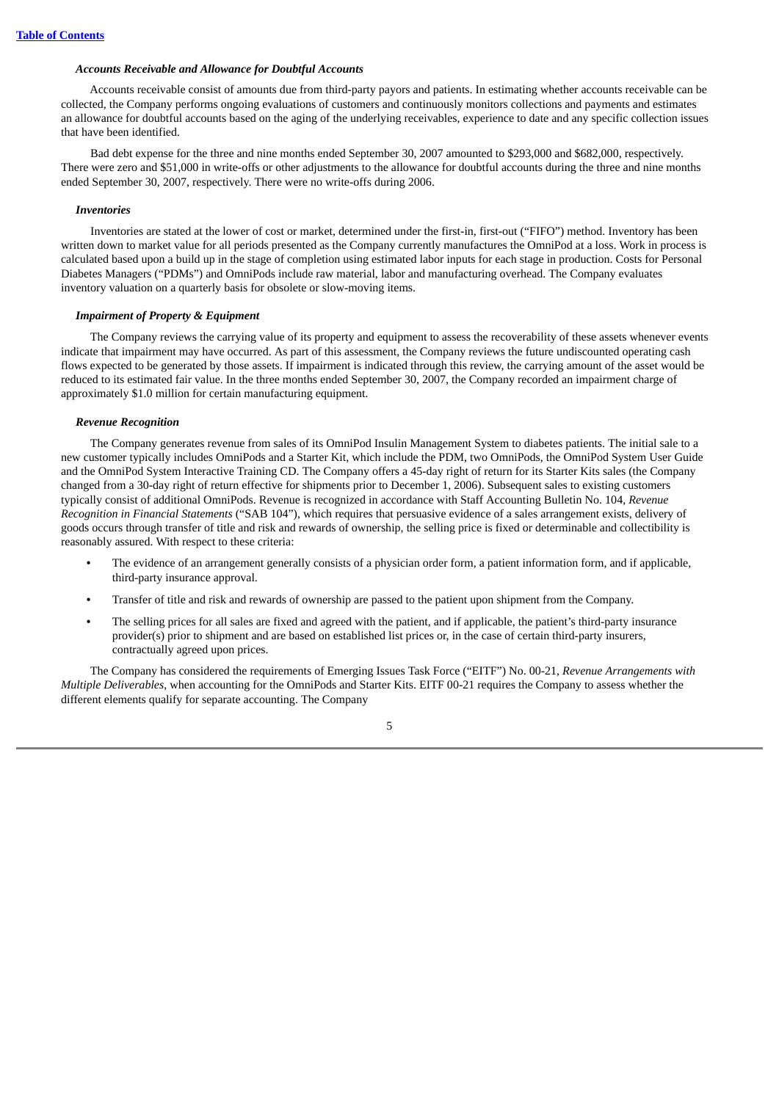#### *Accounts Receivable and Allowance for Doubtful Accounts*

Accounts receivable consist of amounts due from third-party payors and patients. In estimating whether accounts receivable can be collected, the Company performs ongoing evaluations of customers and continuously monitors collections and payments and estimates an allowance for doubtful accounts based on the aging of the underlying receivables, experience to date and any specific collection issues that have been identified.

Bad debt expense for the three and nine months ended September 30, 2007 amounted to \$293,000 and \$682,000, respectively. There were zero and \$51,000 in write-offs or other adjustments to the allowance for doubtful accounts during the three and nine months ended September 30, 2007, respectively. There were no write-offs during 2006.

#### *Inventories*

Inventories are stated at the lower of cost or market, determined under the first-in, first-out ("FIFO") method. Inventory has been written down to market value for all periods presented as the Company currently manufactures the OmniPod at a loss. Work in process is calculated based upon a build up in the stage of completion using estimated labor inputs for each stage in production. Costs for Personal Diabetes Managers ("PDMs") and OmniPods include raw material, labor and manufacturing overhead. The Company evaluates inventory valuation on a quarterly basis for obsolete or slow-moving items.

#### *Impairment of Property & Equipment*

The Company reviews the carrying value of its property and equipment to assess the recoverability of these assets whenever events indicate that impairment may have occurred. As part of this assessment, the Company reviews the future undiscounted operating cash flows expected to be generated by those assets. If impairment is indicated through this review, the carrying amount of the asset would be reduced to its estimated fair value. In the three months ended September 30, 2007, the Company recorded an impairment charge of approximately \$1.0 million for certain manufacturing equipment.

#### *Revenue Recognition*

The Company generates revenue from sales of its OmniPod Insulin Management System to diabetes patients. The initial sale to a new customer typically includes OmniPods and a Starter Kit, which include the PDM, two OmniPods, the OmniPod System User Guide and the OmniPod System Interactive Training CD. The Company offers a 45-day right of return for its Starter Kits sales (the Company changed from a 30-day right of return effective for shipments prior to December 1, 2006). Subsequent sales to existing customers typically consist of additional OmniPods. Revenue is recognized in accordance with Staff Accounting Bulletin No. 104, *Revenue Recognition in Financial Statements* ("SAB 104"), which requires that persuasive evidence of a sales arrangement exists, delivery of goods occurs through transfer of title and risk and rewards of ownership, the selling price is fixed or determinable and collectibility is reasonably assured. With respect to these criteria:

- **•** The evidence of an arrangement generally consists of a physician order form, a patient information form, and if applicable, third-party insurance approval.
- **•** Transfer of title and risk and rewards of ownership are passed to the patient upon shipment from the Company.
- **•** The selling prices for all sales are fixed and agreed with the patient, and if applicable, the patient's third-party insurance provider(s) prior to shipment and are based on established list prices or, in the case of certain third-party insurers, contractually agreed upon prices.

The Company has considered the requirements of Emerging Issues Task Force ("EITF") No. 00-21, *Revenue Arrangements with Multiple Deliverables*, when accounting for the OmniPods and Starter Kits. EITF 00-21 requires the Company to assess whether the different elements qualify for separate accounting. The Company

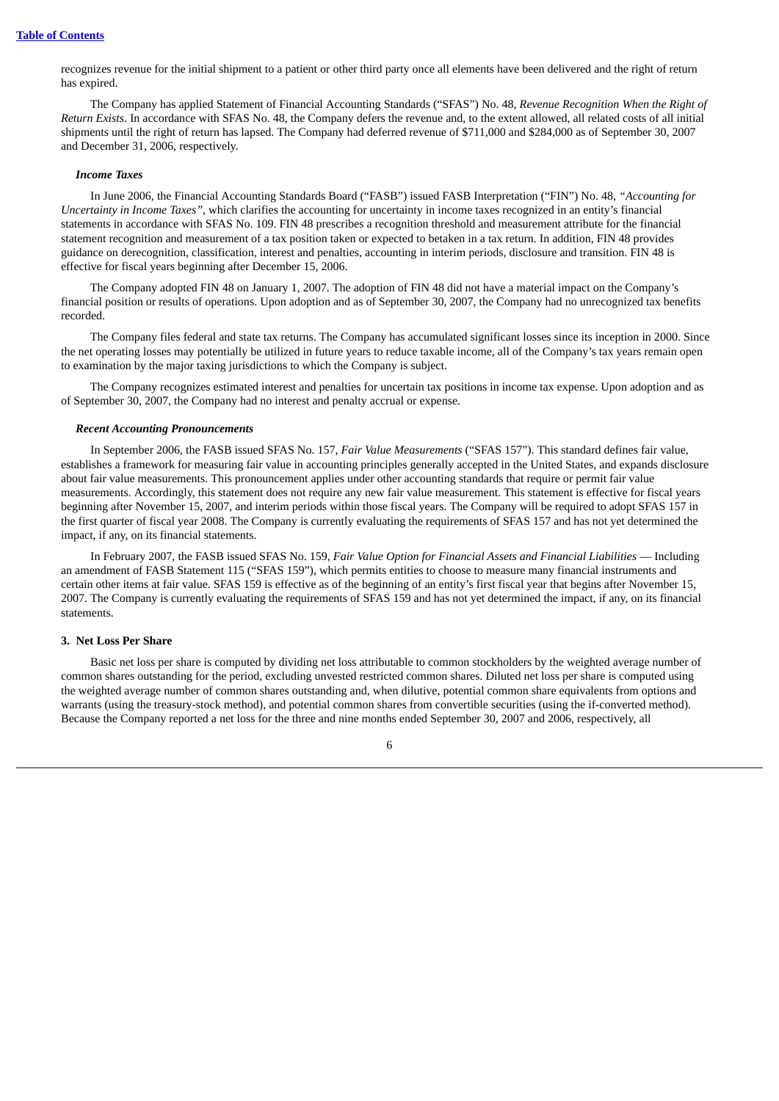recognizes revenue for the initial shipment to a patient or other third party once all elements have been delivered and the right of return has expired.

The Company has applied Statement of Financial Accounting Standards ("SFAS") No. 48, *Revenue Recognition When the Right of Return Exists*. In accordance with SFAS No. 48, the Company defers the revenue and, to the extent allowed, all related costs of all initial shipments until the right of return has lapsed. The Company had deferred revenue of \$711,000 and \$284,000 as of September 30, 2007 and December 31, 2006, respectively.

#### *Income Taxes*

In June 2006, the Financial Accounting Standards Board ("FASB") issued FASB Interpretation ("FIN") No. 48, *"Accounting for Uncertainty in Income Taxes"*, which clarifies the accounting for uncertainty in income taxes recognized in an entity's financial statements in accordance with SFAS No. 109. FIN 48 prescribes a recognition threshold and measurement attribute for the financial statement recognition and measurement of a tax position taken or expected to betaken in a tax return. In addition, FIN 48 provides guidance on derecognition, classification, interest and penalties, accounting in interim periods, disclosure and transition. FIN 48 is effective for fiscal years beginning after December 15, 2006.

The Company adopted FIN 48 on January 1, 2007. The adoption of FIN 48 did not have a material impact on the Company's financial position or results of operations. Upon adoption and as of September 30, 2007, the Company had no unrecognized tax benefits recorded.

The Company files federal and state tax returns. The Company has accumulated significant losses since its inception in 2000. Since the net operating losses may potentially be utilized in future years to reduce taxable income, all of the Company's tax years remain open to examination by the major taxing jurisdictions to which the Company is subject.

The Company recognizes estimated interest and penalties for uncertain tax positions in income tax expense. Upon adoption and as of September 30, 2007, the Company had no interest and penalty accrual or expense.

#### *Recent Accounting Pronouncements*

In September 2006, the FASB issued SFAS No. 157, *Fair Value Measurements* ("SFAS 157"). This standard defines fair value, establishes a framework for measuring fair value in accounting principles generally accepted in the United States, and expands disclosure about fair value measurements. This pronouncement applies under other accounting standards that require or permit fair value measurements. Accordingly, this statement does not require any new fair value measurement. This statement is effective for fiscal years beginning after November 15, 2007, and interim periods within those fiscal years. The Company will be required to adopt SFAS 157 in the first quarter of fiscal year 2008. The Company is currently evaluating the requirements of SFAS 157 and has not yet determined the impact, if any, on its financial statements.

In February 2007, the FASB issued SFAS No. 159, *Fair Value Option for Financial Assets and Financial Liabilities* — Including an amendment of FASB Statement 115 ("SFAS 159"), which permits entities to choose to measure many financial instruments and certain other items at fair value. SFAS 159 is effective as of the beginning of an entity's first fiscal year that begins after November 15, 2007. The Company is currently evaluating the requirements of SFAS 159 and has not yet determined the impact, if any, on its financial statements.

#### **3. Net Loss Per Share**

Basic net loss per share is computed by dividing net loss attributable to common stockholders by the weighted average number of common shares outstanding for the period, excluding unvested restricted common shares. Diluted net loss per share is computed using the weighted average number of common shares outstanding and, when dilutive, potential common share equivalents from options and warrants (using the treasury-stock method), and potential common shares from convertible securities (using the if-converted method). Because the Company reported a net loss for the three and nine months ended September 30, 2007 and 2006, respectively, all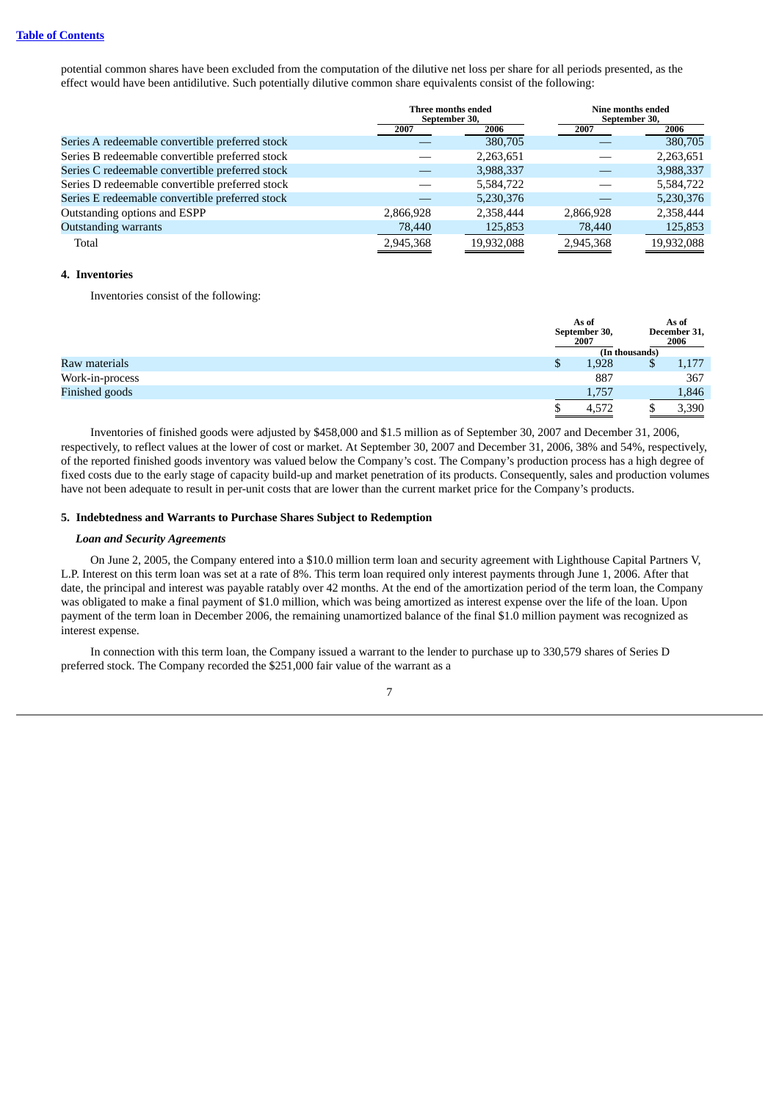potential common shares have been excluded from the computation of the dilutive net loss per share for all periods presented, as the effect would have been antidilutive. Such potentially dilutive common share equivalents consist of the following:

|                                                 |           | Three months ended<br>September 30, |           | Nine months ended<br>September 30, |
|-------------------------------------------------|-----------|-------------------------------------|-----------|------------------------------------|
|                                                 | 2007      | 2006                                | 2007      | 2006                               |
| Series A redeemable convertible preferred stock |           | 380,705                             |           | 380,705                            |
| Series B redeemable convertible preferred stock |           | 2,263,651                           |           | 2,263,651                          |
| Series C redeemable convertible preferred stock |           | 3,988,337                           |           | 3,988,337                          |
| Series D redeemable convertible preferred stock |           | 5,584,722                           |           | 5,584,722                          |
| Series E redeemable convertible preferred stock |           | 5,230,376                           |           | 5,230,376                          |
| Outstanding options and ESPP                    | 2,866,928 | 2,358,444                           | 2,866,928 | 2,358,444                          |
| <b>Outstanding warrants</b>                     | 78,440    | 125,853                             | 78,440    | 125,853                            |
| Total                                           | 2,945,368 | 19,932,088                          | 2,945,368 | 19,932,088                         |

#### **4. Inventories**

Inventories consist of the following:

|                 |   | As of<br>September 30,<br>2007 |   | As of<br>December 31,<br>2006 |
|-----------------|---|--------------------------------|---|-------------------------------|
|                 |   | (In thousands)                 |   |                               |
| Raw materials   | Φ | 1,928                          | Ψ | 1,177                         |
| Work-in-process |   | 887                            |   | 367                           |
| Finished goods  |   | 1,757                          |   | 1,846                         |
|                 |   | 4,572                          |   | 3,390                         |

Inventories of finished goods were adjusted by \$458,000 and \$1.5 million as of September 30, 2007 and December 31, 2006, respectively, to reflect values at the lower of cost or market. At September 30, 2007 and December 31, 2006, 38% and 54%, respectively, of the reported finished goods inventory was valued below the Company's cost. The Company's production process has a high degree of fixed costs due to the early stage of capacity build-up and market penetration of its products. Consequently, sales and production volumes have not been adequate to result in per-unit costs that are lower than the current market price for the Company's products.

#### **5. Indebtedness and Warrants to Purchase Shares Subject to Redemption**

#### *Loan and Security Agreements*

On June 2, 2005, the Company entered into a \$10.0 million term loan and security agreement with Lighthouse Capital Partners V, L.P. Interest on this term loan was set at a rate of 8%. This term loan required only interest payments through June 1, 2006. After that date, the principal and interest was payable ratably over 42 months. At the end of the amortization period of the term loan, the Company was obligated to make a final payment of \$1.0 million, which was being amortized as interest expense over the life of the loan. Upon payment of the term loan in December 2006, the remaining unamortized balance of the final \$1.0 million payment was recognized as interest expense.

In connection with this term loan, the Company issued a warrant to the lender to purchase up to 330,579 shares of Series D preferred stock. The Company recorded the \$251,000 fair value of the warrant as a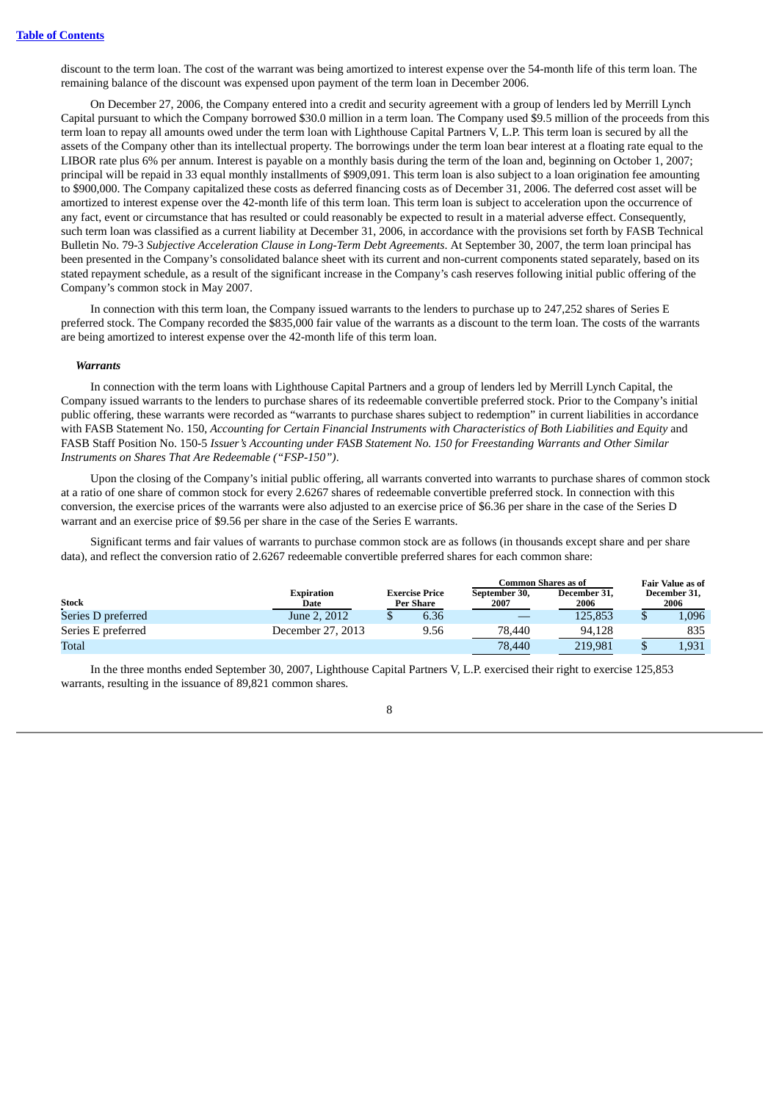discount to the term loan. The cost of the warrant was being amortized to interest expense over the 54-month life of this term loan. The remaining balance of the discount was expensed upon payment of the term loan in December 2006.

On December 27, 2006, the Company entered into a credit and security agreement with a group of lenders led by Merrill Lynch Capital pursuant to which the Company borrowed \$30.0 million in a term loan. The Company used \$9.5 million of the proceeds from this term loan to repay all amounts owed under the term loan with Lighthouse Capital Partners V, L.P. This term loan is secured by all the assets of the Company other than its intellectual property. The borrowings under the term loan bear interest at a floating rate equal to the LIBOR rate plus 6% per annum. Interest is payable on a monthly basis during the term of the loan and, beginning on October 1, 2007; principal will be repaid in 33 equal monthly installments of \$909,091. This term loan is also subject to a loan origination fee amounting to \$900,000. The Company capitalized these costs as deferred financing costs as of December 31, 2006. The deferred cost asset will be amortized to interest expense over the 42-month life of this term loan. This term loan is subject to acceleration upon the occurrence of any fact, event or circumstance that has resulted or could reasonably be expected to result in a material adverse effect. Consequently, such term loan was classified as a current liability at December 31, 2006, in accordance with the provisions set forth by FASB Technical Bulletin No. 79-3 *Subjective Acceleration Clause in Long-Term Debt Agreements*. At September 30, 2007, the term loan principal has been presented in the Company's consolidated balance sheet with its current and non-current components stated separately, based on its stated repayment schedule, as a result of the significant increase in the Company's cash reserves following initial public offering of the Company's common stock in May 2007.

In connection with this term loan, the Company issued warrants to the lenders to purchase up to 247,252 shares of Series E preferred stock. The Company recorded the \$835,000 fair value of the warrants as a discount to the term loan. The costs of the warrants are being amortized to interest expense over the 42-month life of this term loan.

#### *Warrants*

In connection with the term loans with Lighthouse Capital Partners and a group of lenders led by Merrill Lynch Capital, the Company issued warrants to the lenders to purchase shares of its redeemable convertible preferred stock. Prior to the Company's initial public offering, these warrants were recorded as "warrants to purchase shares subject to redemption" in current liabilities in accordance with FASB Statement No. 150, *Accounting for Certain Financial Instruments with Characteristics of Both Liabilities and Equity* and FASB Staff Position No. 150-5 *Issuer's Accounting under FASB Statement No. 150 for Freestanding Warrants and Other Similar Instruments on Shares That Are Redeemable ("FSP-150")*.

Upon the closing of the Company's initial public offering, all warrants converted into warrants to purchase shares of common stock at a ratio of one share of common stock for every 2.6267 shares of redeemable convertible preferred stock. In connection with this conversion, the exercise prices of the warrants were also adjusted to an exercise price of \$6.36 per share in the case of the Series D warrant and an exercise price of \$9.56 per share in the case of the Series E warrants.

Significant terms and fair values of warrants to purchase common stock are as follows (in thousands except share and per share data), and reflect the conversion ratio of 2.6267 redeemable convertible preferred shares for each common share:

|                    |                           |                                    | Common Shares as of   | Fair Value as of     |  |                      |
|--------------------|---------------------------|------------------------------------|-----------------------|----------------------|--|----------------------|
| <b>Stock</b>       | <b>Expiration</b><br>Date | <b>Exercise Price</b><br>Per Share | September 30,<br>2007 | December 31,<br>2006 |  | December 31,<br>2006 |
| Series D preferred | June 2, 2012              | 6.36                               |                       | 125.853              |  | 1,096                |
| Series E preferred | December 27. 2013         | 9.56                               | 78,440                | 94.128               |  | 835                  |
| <b>Total</b>       |                           |                                    | 78,440                | 219.981              |  | 1,931                |

In the three months ended September 30, 2007, Lighthouse Capital Partners V, L.P. exercised their right to exercise 125,853 warrants, resulting in the issuance of 89,821 common shares.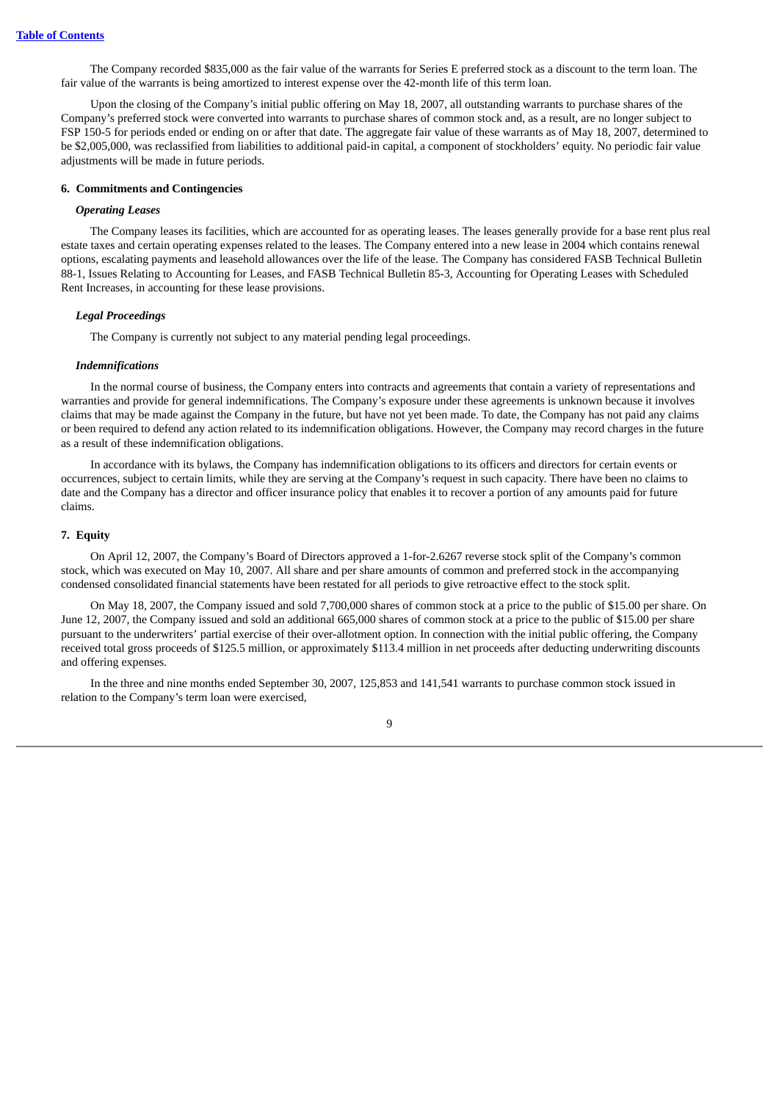The Company recorded \$835,000 as the fair value of the warrants for Series E preferred stock as a discount to the term loan. The fair value of the warrants is being amortized to interest expense over the 42-month life of this term loan.

Upon the closing of the Company's initial public offering on May 18, 2007, all outstanding warrants to purchase shares of the Company's preferred stock were converted into warrants to purchase shares of common stock and, as a result, are no longer subject to FSP 150-5 for periods ended or ending on or after that date. The aggregate fair value of these warrants as of May 18, 2007, determined to be \$2,005,000, was reclassified from liabilities to additional paid-in capital, a component of stockholders' equity. No periodic fair value adjustments will be made in future periods.

#### **6. Commitments and Contingencies**

#### *Operating Leases*

The Company leases its facilities, which are accounted for as operating leases. The leases generally provide for a base rent plus real estate taxes and certain operating expenses related to the leases. The Company entered into a new lease in 2004 which contains renewal options, escalating payments and leasehold allowances over the life of the lease. The Company has considered FASB Technical Bulletin 88-1, Issues Relating to Accounting for Leases, and FASB Technical Bulletin 85-3, Accounting for Operating Leases with Scheduled Rent Increases, in accounting for these lease provisions.

#### *Legal Proceedings*

The Company is currently not subject to any material pending legal proceedings.

#### *Indemnifications*

In the normal course of business, the Company enters into contracts and agreements that contain a variety of representations and warranties and provide for general indemnifications. The Company's exposure under these agreements is unknown because it involves claims that may be made against the Company in the future, but have not yet been made. To date, the Company has not paid any claims or been required to defend any action related to its indemnification obligations. However, the Company may record charges in the future as a result of these indemnification obligations.

In accordance with its bylaws, the Company has indemnification obligations to its officers and directors for certain events or occurrences, subject to certain limits, while they are serving at the Company's request in such capacity. There have been no claims to date and the Company has a director and officer insurance policy that enables it to recover a portion of any amounts paid for future claims.

### **7. Equity**

On April 12, 2007, the Company's Board of Directors approved a 1-for-2.6267 reverse stock split of the Company's common stock, which was executed on May 10, 2007. All share and per share amounts of common and preferred stock in the accompanying condensed consolidated financial statements have been restated for all periods to give retroactive effect to the stock split.

On May 18, 2007, the Company issued and sold 7,700,000 shares of common stock at a price to the public of \$15.00 per share. On June 12, 2007, the Company issued and sold an additional 665,000 shares of common stock at a price to the public of \$15.00 per share pursuant to the underwriters' partial exercise of their over-allotment option. In connection with the initial public offering, the Company received total gross proceeds of \$125.5 million, or approximately \$113.4 million in net proceeds after deducting underwriting discounts and offering expenses.

In the three and nine months ended September 30, 2007, 125,853 and 141,541 warrants to purchase common stock issued in relation to the Company's term loan were exercised,

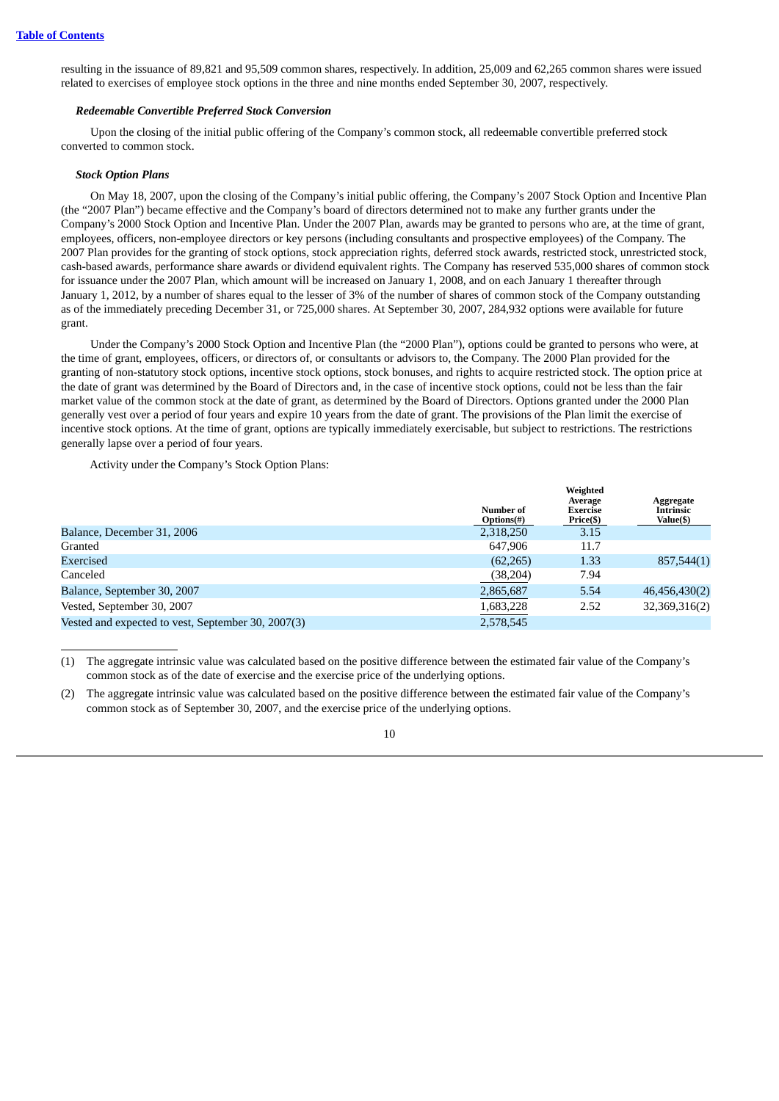resulting in the issuance of 89,821 and 95,509 common shares, respectively. In addition, 25,009 and 62,265 common shares were issued related to exercises of employee stock options in the three and nine months ended September 30, 2007, respectively.

#### *Redeemable Convertible Preferred Stock Conversion*

Upon the closing of the initial public offering of the Company's common stock, all redeemable convertible preferred stock converted to common stock.

#### *Stock Option Plans*

On May 18, 2007, upon the closing of the Company's initial public offering, the Company's 2007 Stock Option and Incentive Plan (the "2007 Plan") became effective and the Company's board of directors determined not to make any further grants under the Company's 2000 Stock Option and Incentive Plan. Under the 2007 Plan, awards may be granted to persons who are, at the time of grant, employees, officers, non-employee directors or key persons (including consultants and prospective employees) of the Company. The 2007 Plan provides for the granting of stock options, stock appreciation rights, deferred stock awards, restricted stock, unrestricted stock, cash-based awards, performance share awards or dividend equivalent rights. The Company has reserved 535,000 shares of common stock for issuance under the 2007 Plan, which amount will be increased on January 1, 2008, and on each January 1 thereafter through January 1, 2012, by a number of shares equal to the lesser of 3% of the number of shares of common stock of the Company outstanding as of the immediately preceding December 31, or 725,000 shares. At September 30, 2007, 284,932 options were available for future grant.

Under the Company's 2000 Stock Option and Incentive Plan (the "2000 Plan"), options could be granted to persons who were, at the time of grant, employees, officers, or directors of, or consultants or advisors to, the Company. The 2000 Plan provided for the granting of non-statutory stock options, incentive stock options, stock bonuses, and rights to acquire restricted stock. The option price at the date of grant was determined by the Board of Directors and, in the case of incentive stock options, could not be less than the fair market value of the common stock at the date of grant, as determined by the Board of Directors. Options granted under the 2000 Plan generally vest over a period of four years and expire 10 years from the date of grant. The provisions of the Plan limit the exercise of incentive stock options. At the time of grant, options are typically immediately exercisable, but subject to restrictions. The restrictions generally lapse over a period of four years.

Activity under the Company's Stock Option Plans:

|                                                    | Number of<br>$Options(\#)$ | Weighted<br>Average<br>Exercise<br>Price(\$) | Aggregate<br><b>Intrinsic</b><br>Value(\$) |
|----------------------------------------------------|----------------------------|----------------------------------------------|--------------------------------------------|
| Balance, December 31, 2006                         | 2,318,250                  | 3.15                                         |                                            |
| Granted                                            | 647,906                    | 11.7                                         |                                            |
| Exercised                                          | (62, 265)                  | 1.33                                         | 857,544(1)                                 |
| Canceled                                           | (38, 204)                  | 7.94                                         |                                            |
| Balance, September 30, 2007                        | 2,865,687                  | 5.54                                         | 46,456,430(2)                              |
| Vested, September 30, 2007                         | 1,683,228                  | 2.52                                         | 32,369,316(2)                              |
| Vested and expected to vest, September 30, 2007(3) | 2,578,545                  |                                              |                                            |

<sup>(1)</sup> The aggregate intrinsic value was calculated based on the positive difference between the estimated fair value of the Company's common stock as of the date of exercise and the exercise price of the underlying options.

<sup>(2)</sup> The aggregate intrinsic value was calculated based on the positive difference between the estimated fair value of the Company's common stock as of September 30, 2007, and the exercise price of the underlying options.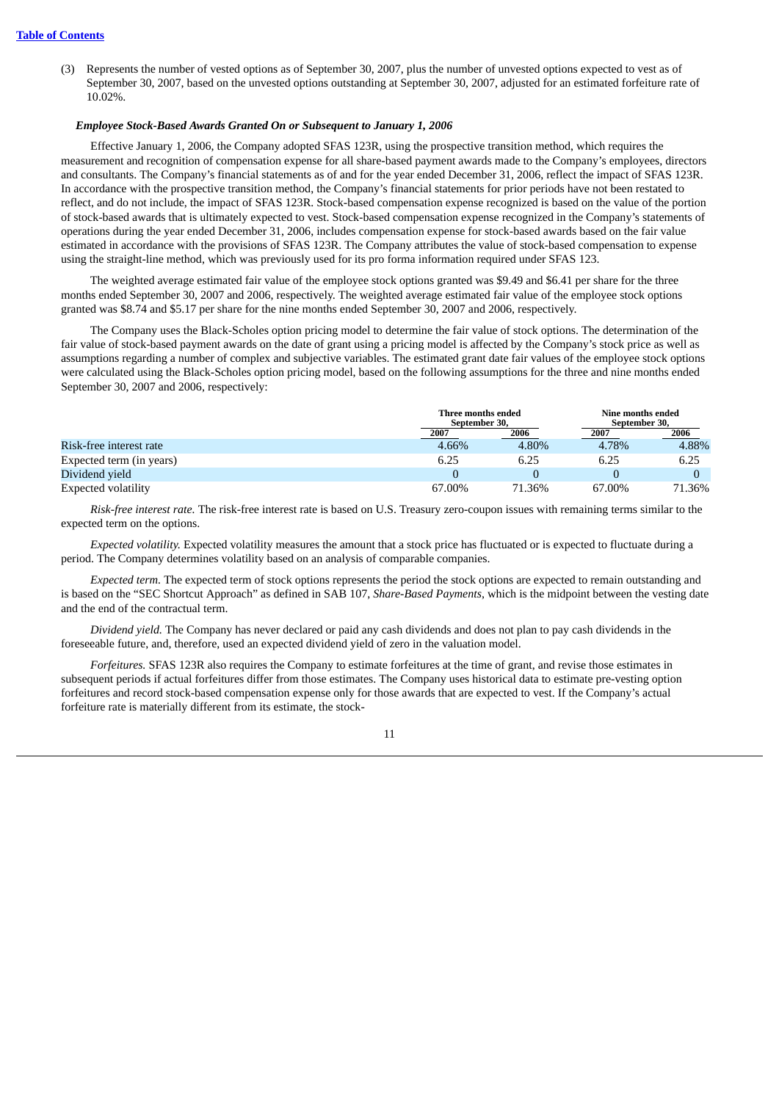(3) Represents the number of vested options as of September 30, 2007, plus the number of unvested options expected to vest as of September 30, 2007, based on the unvested options outstanding at September 30, 2007, adjusted for an estimated forfeiture rate of 10.02%.

#### *Employee Stock-Based Awards Granted On or Subsequent to January 1, 2006*

Effective January 1, 2006, the Company adopted SFAS 123R, using the prospective transition method, which requires the measurement and recognition of compensation expense for all share-based payment awards made to the Company's employees, directors and consultants. The Company's financial statements as of and for the year ended December 31, 2006, reflect the impact of SFAS 123R. In accordance with the prospective transition method, the Company's financial statements for prior periods have not been restated to reflect, and do not include, the impact of SFAS 123R. Stock-based compensation expense recognized is based on the value of the portion of stock-based awards that is ultimately expected to vest. Stock-based compensation expense recognized in the Company's statements of operations during the year ended December 31, 2006, includes compensation expense for stock-based awards based on the fair value estimated in accordance with the provisions of SFAS 123R. The Company attributes the value of stock-based compensation to expense using the straight-line method, which was previously used for its pro forma information required under SFAS 123.

The weighted average estimated fair value of the employee stock options granted was \$9.49 and \$6.41 per share for the three months ended September 30, 2007 and 2006, respectively. The weighted average estimated fair value of the employee stock options granted was \$8.74 and \$5.17 per share for the nine months ended September 30, 2007 and 2006, respectively.

The Company uses the Black-Scholes option pricing model to determine the fair value of stock options. The determination of the fair value of stock-based payment awards on the date of grant using a pricing model is affected by the Company's stock price as well as assumptions regarding a number of complex and subjective variables. The estimated grant date fair values of the employee stock options were calculated using the Black-Scholes option pricing model, based on the following assumptions for the three and nine months ended September 30, 2007 and 2006, respectively:

|                          |        | Three months ended<br>September 30, |        | Nine months ended<br>September 30, |  |
|--------------------------|--------|-------------------------------------|--------|------------------------------------|--|
|                          | 2007   | 2006                                | 2007   | 2006                               |  |
| Risk-free interest rate  | 4.66%  | 4.80%                               | 4.78%  | 4.88%                              |  |
| Expected term (in years) | 6.25   | 6.25                                | 6.25   | 6.25                               |  |
| Dividend yield           |        |                                     |        |                                    |  |
| Expected volatility      | 67.00% | 71.36%                              | 67.00% | 71.36%                             |  |

*Risk-free interest rate.* The risk-free interest rate is based on U.S. Treasury zero-coupon issues with remaining terms similar to the expected term on the options.

*Expected volatility.* Expected volatility measures the amount that a stock price has fluctuated or is expected to fluctuate during a period. The Company determines volatility based on an analysis of comparable companies.

*Expected term.* The expected term of stock options represents the period the stock options are expected to remain outstanding and is based on the "SEC Shortcut Approach" as defined in SAB 107, *Share-Based Payments*, which is the midpoint between the vesting date and the end of the contractual term.

*Dividend yield.* The Company has never declared or paid any cash dividends and does not plan to pay cash dividends in the foreseeable future, and, therefore, used an expected dividend yield of zero in the valuation model.

*Forfeitures.* SFAS 123R also requires the Company to estimate forfeitures at the time of grant, and revise those estimates in subsequent periods if actual forfeitures differ from those estimates. The Company uses historical data to estimate pre-vesting option forfeitures and record stock-based compensation expense only for those awards that are expected to vest. If the Company's actual forfeiture rate is materially different from its estimate, the stock-

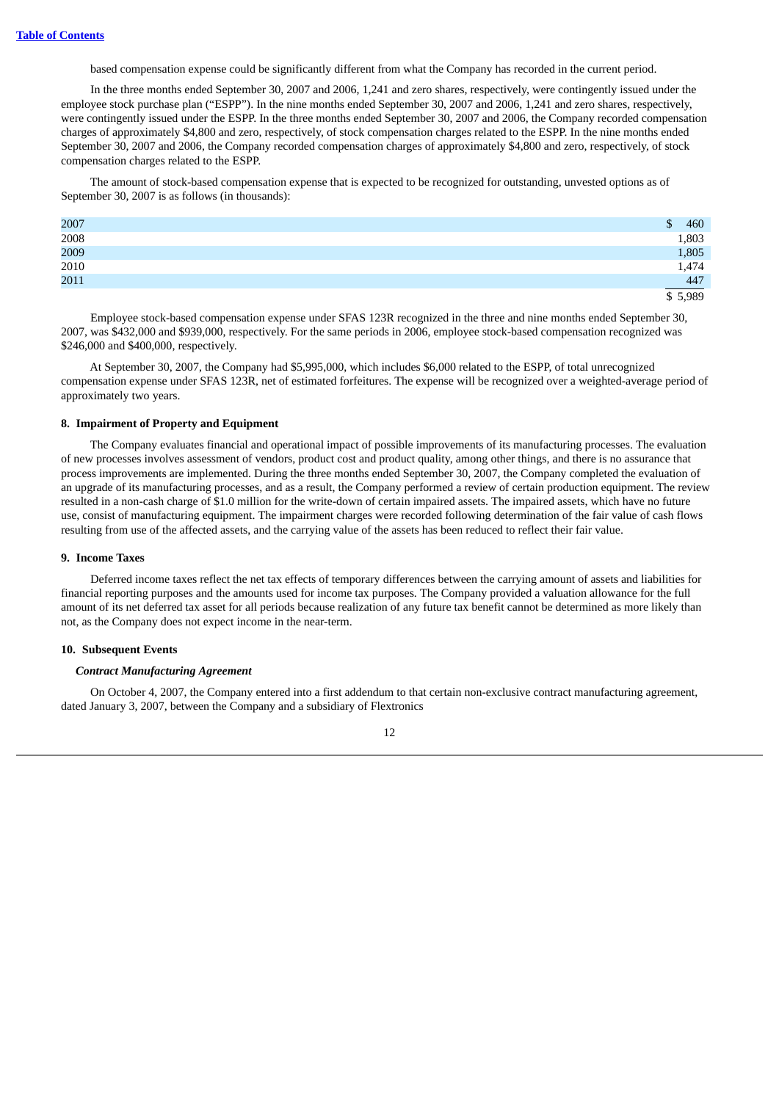based compensation expense could be significantly different from what the Company has recorded in the current period.

In the three months ended September 30, 2007 and 2006, 1,241 and zero shares, respectively, were contingently issued under the employee stock purchase plan ("ESPP"). In the nine months ended September 30, 2007 and 2006, 1,241 and zero shares, respectively, were contingently issued under the ESPP. In the three months ended September 30, 2007 and 2006, the Company recorded compensation charges of approximately \$4,800 and zero, respectively, of stock compensation charges related to the ESPP. In the nine months ended September 30, 2007 and 2006, the Company recorded compensation charges of approximately \$4,800 and zero, respectively, of stock compensation charges related to the ESPP.

The amount of stock-based compensation expense that is expected to be recognized for outstanding, unvested options as of September 30, 2007 is as follows (in thousands):

| 2007 | 460             |
|------|-----------------|
| 2008 | 1,803           |
| 2009 | 1,805           |
| 2010 | 1,474           |
| 2011 | $\frac{447}{ }$ |
|      | 5,989           |

Employee stock-based compensation expense under SFAS 123R recognized in the three and nine months ended September 30, 2007, was \$432,000 and \$939,000, respectively. For the same periods in 2006, employee stock-based compensation recognized was \$246,000 and \$400,000, respectively.

At September 30, 2007, the Company had \$5,995,000, which includes \$6,000 related to the ESPP, of total unrecognized compensation expense under SFAS 123R, net of estimated forfeitures. The expense will be recognized over a weighted-average period of approximately two years.

#### **8. Impairment of Property and Equipment**

The Company evaluates financial and operational impact of possible improvements of its manufacturing processes. The evaluation of new processes involves assessment of vendors, product cost and product quality, among other things, and there is no assurance that process improvements are implemented. During the three months ended September 30, 2007, the Company completed the evaluation of an upgrade of its manufacturing processes, and as a result, the Company performed a review of certain production equipment. The review resulted in a non-cash charge of \$1.0 million for the write-down of certain impaired assets. The impaired assets, which have no future use, consist of manufacturing equipment. The impairment charges were recorded following determination of the fair value of cash flows resulting from use of the affected assets, and the carrying value of the assets has been reduced to reflect their fair value.

#### **9. Income Taxes**

Deferred income taxes reflect the net tax effects of temporary differences between the carrying amount of assets and liabilities for financial reporting purposes and the amounts used for income tax purposes. The Company provided a valuation allowance for the full amount of its net deferred tax asset for all periods because realization of any future tax benefit cannot be determined as more likely than not, as the Company does not expect income in the near-term.

#### **10. Subsequent Events**

#### *Contract Manufacturing Agreement*

On October 4, 2007, the Company entered into a first addendum to that certain non-exclusive contract manufacturing agreement, dated January 3, 2007, between the Company and a subsidiary of Flextronics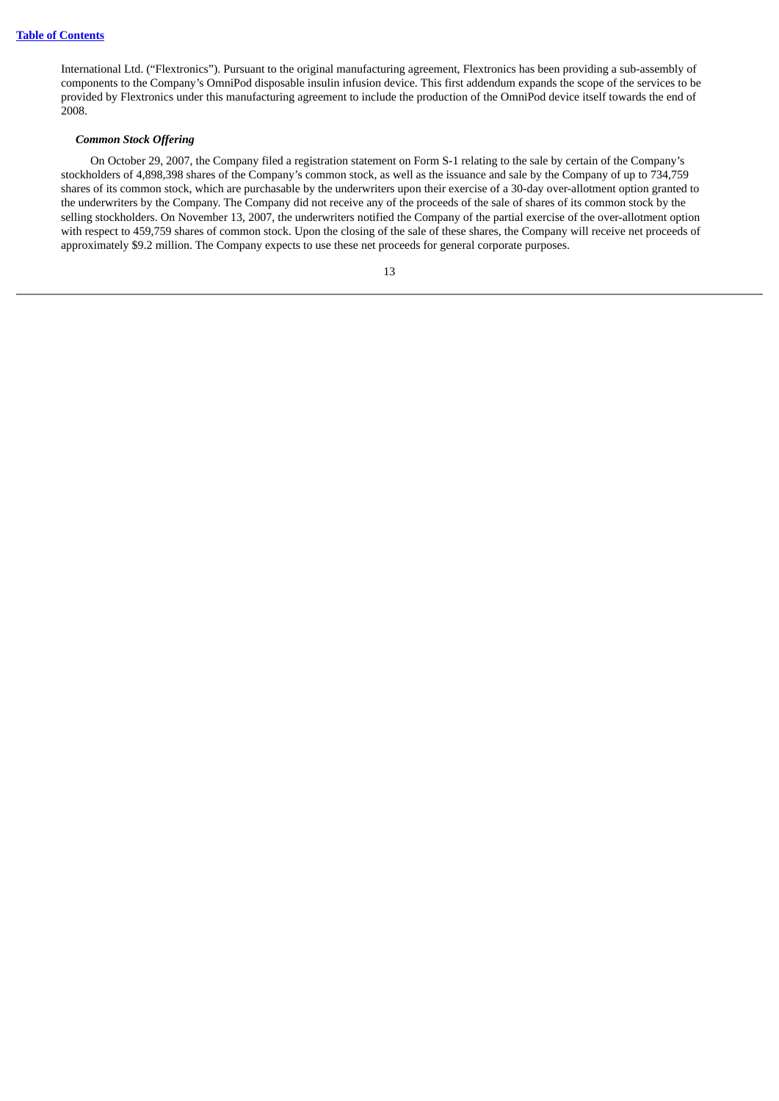International Ltd. ("Flextronics"). Pursuant to the original manufacturing agreement, Flextronics has been providing a sub-assembly of components to the Company's OmniPod disposable insulin infusion device. This first addendum expands the scope of the services to be provided by Flextronics under this manufacturing agreement to include the production of the OmniPod device itself towards the end of 2008.

#### *Common Stock Offering*

On October 29, 2007, the Company filed a registration statement on Form S-1 relating to the sale by certain of the Company's stockholders of 4,898,398 shares of the Company's common stock, as well as the issuance and sale by the Company of up to 734,759 shares of its common stock, which are purchasable by the underwriters upon their exercise of a 30-day over-allotment option granted to the underwriters by the Company. The Company did not receive any of the proceeds of the sale of shares of its common stock by the selling stockholders. On November 13, 2007, the underwriters notified the Company of the partial exercise of the over-allotment option with respect to 459,759 shares of common stock. Upon the closing of the sale of these shares, the Company will receive net proceeds of approximately \$9.2 million. The Company expects to use these net proceeds for general corporate purposes.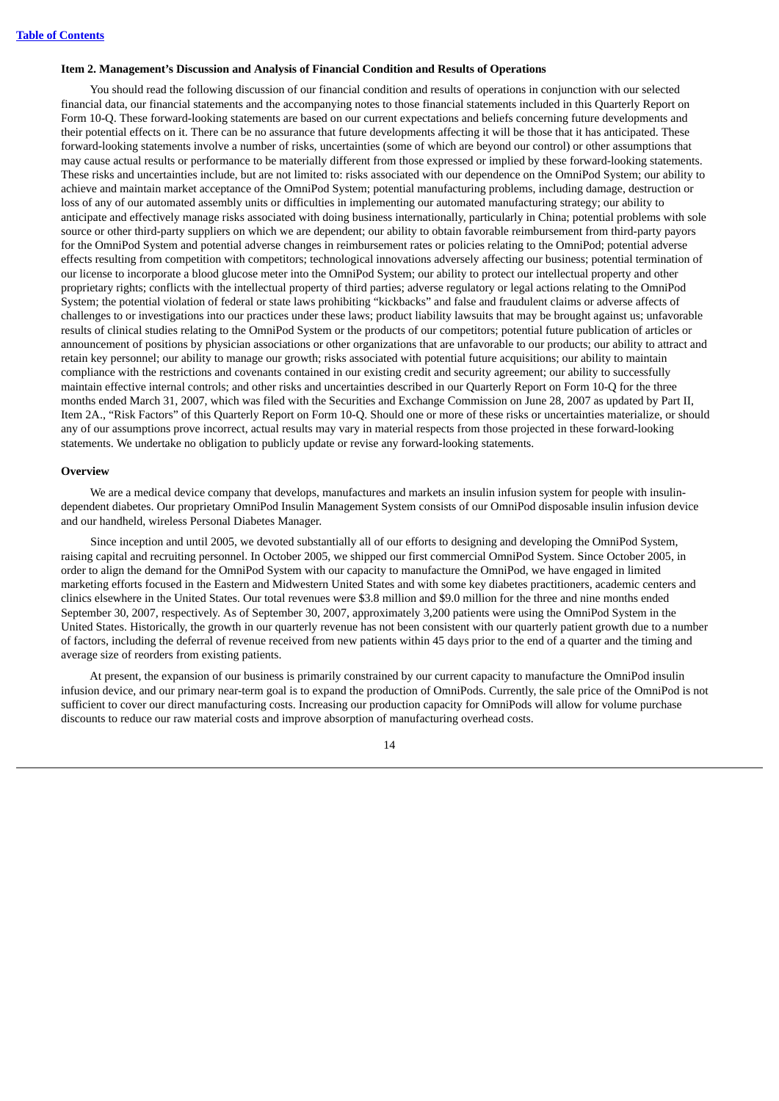#### <span id="page-16-0"></span>**Item 2. Management's Discussion and Analysis of Financial Condition and Results of Operations**

You should read the following discussion of our financial condition and results of operations in conjunction with our selected financial data, our financial statements and the accompanying notes to those financial statements included in this Quarterly Report on Form 10-Q. These forward-looking statements are based on our current expectations and beliefs concerning future developments and their potential effects on it. There can be no assurance that future developments affecting it will be those that it has anticipated. These forward-looking statements involve a number of risks, uncertainties (some of which are beyond our control) or other assumptions that may cause actual results or performance to be materially different from those expressed or implied by these forward-looking statements. These risks and uncertainties include, but are not limited to: risks associated with our dependence on the OmniPod System; our ability to achieve and maintain market acceptance of the OmniPod System; potential manufacturing problems, including damage, destruction or loss of any of our automated assembly units or difficulties in implementing our automated manufacturing strategy; our ability to anticipate and effectively manage risks associated with doing business internationally, particularly in China; potential problems with sole source or other third-party suppliers on which we are dependent; our ability to obtain favorable reimbursement from third-party payors for the OmniPod System and potential adverse changes in reimbursement rates or policies relating to the OmniPod; potential adverse effects resulting from competition with competitors; technological innovations adversely affecting our business; potential termination of our license to incorporate a blood glucose meter into the OmniPod System; our ability to protect our intellectual property and other proprietary rights; conflicts with the intellectual property of third parties; adverse regulatory or legal actions relating to the OmniPod System; the potential violation of federal or state laws prohibiting "kickbacks" and false and fraudulent claims or adverse affects of challenges to or investigations into our practices under these laws; product liability lawsuits that may be brought against us; unfavorable results of clinical studies relating to the OmniPod System or the products of our competitors; potential future publication of articles or announcement of positions by physician associations or other organizations that are unfavorable to our products; our ability to attract and retain key personnel; our ability to manage our growth; risks associated with potential future acquisitions; our ability to maintain compliance with the restrictions and covenants contained in our existing credit and security agreement; our ability to successfully maintain effective internal controls; and other risks and uncertainties described in our Quarterly Report on Form 10-Q for the three months ended March 31, 2007, which was filed with the Securities and Exchange Commission on June 28, 2007 as updated by Part II, Item 2A., "Risk Factors" of this Quarterly Report on Form 10-Q. Should one or more of these risks or uncertainties materialize, or should any of our assumptions prove incorrect, actual results may vary in material respects from those projected in these forward-looking statements. We undertake no obligation to publicly update or revise any forward-looking statements.

#### **Overview**

We are a medical device company that develops, manufactures and markets an insulin infusion system for people with insulindependent diabetes. Our proprietary OmniPod Insulin Management System consists of our OmniPod disposable insulin infusion device and our handheld, wireless Personal Diabetes Manager.

Since inception and until 2005, we devoted substantially all of our efforts to designing and developing the OmniPod System, raising capital and recruiting personnel. In October 2005, we shipped our first commercial OmniPod System. Since October 2005, in order to align the demand for the OmniPod System with our capacity to manufacture the OmniPod, we have engaged in limited marketing efforts focused in the Eastern and Midwestern United States and with some key diabetes practitioners, academic centers and clinics elsewhere in the United States. Our total revenues were \$3.8 million and \$9.0 million for the three and nine months ended September 30, 2007, respectively. As of September 30, 2007, approximately 3,200 patients were using the OmniPod System in the United States. Historically, the growth in our quarterly revenue has not been consistent with our quarterly patient growth due to a number of factors, including the deferral of revenue received from new patients within 45 days prior to the end of a quarter and the timing and average size of reorders from existing patients.

At present, the expansion of our business is primarily constrained by our current capacity to manufacture the OmniPod insulin infusion device, and our primary near-term goal is to expand the production of OmniPods. Currently, the sale price of the OmniPod is not sufficient to cover our direct manufacturing costs. Increasing our production capacity for OmniPods will allow for volume purchase discounts to reduce our raw material costs and improve absorption of manufacturing overhead costs.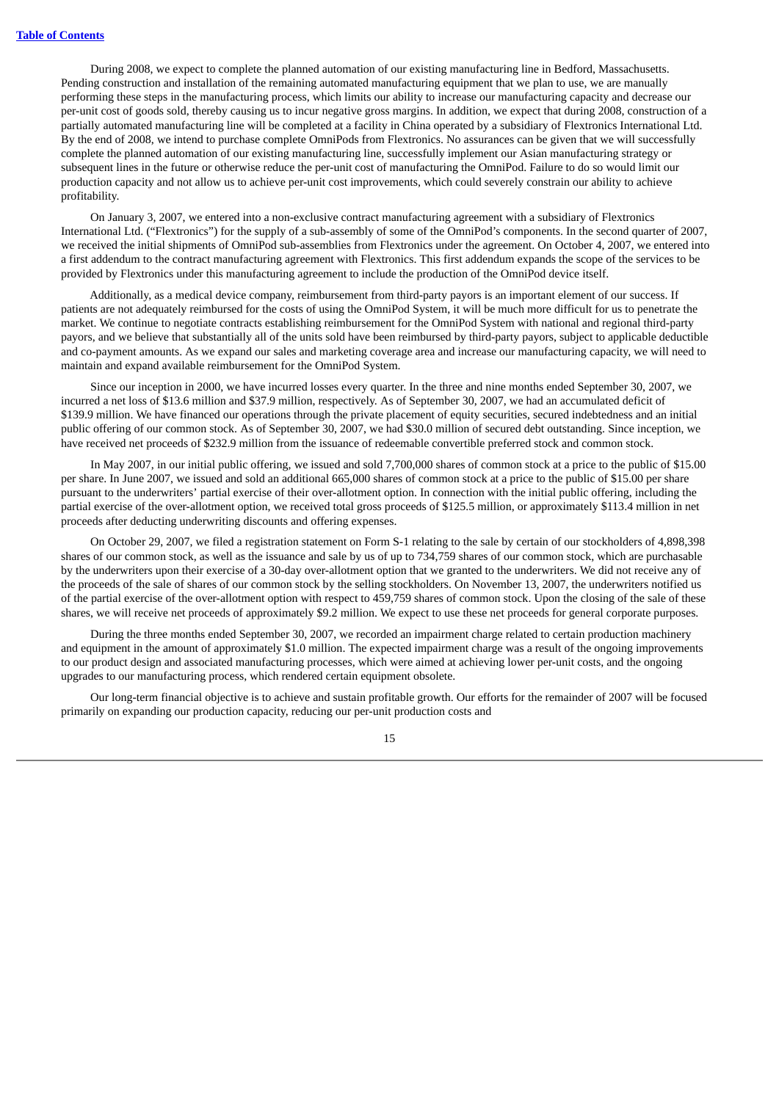During 2008, we expect to complete the planned automation of our existing manufacturing line in Bedford, Massachusetts. Pending construction and installation of the remaining automated manufacturing equipment that we plan to use, we are manually performing these steps in the manufacturing process, which limits our ability to increase our manufacturing capacity and decrease our per-unit cost of goods sold, thereby causing us to incur negative gross margins. In addition, we expect that during 2008, construction of a partially automated manufacturing line will be completed at a facility in China operated by a subsidiary of Flextronics International Ltd. By the end of 2008, we intend to purchase complete OmniPods from Flextronics. No assurances can be given that we will successfully complete the planned automation of our existing manufacturing line, successfully implement our Asian manufacturing strategy or subsequent lines in the future or otherwise reduce the per-unit cost of manufacturing the OmniPod. Failure to do so would limit our production capacity and not allow us to achieve per-unit cost improvements, which could severely constrain our ability to achieve profitability.

On January 3, 2007, we entered into a non-exclusive contract manufacturing agreement with a subsidiary of Flextronics International Ltd. ("Flextronics") for the supply of a sub-assembly of some of the OmniPod's components. In the second quarter of 2007, we received the initial shipments of OmniPod sub-assemblies from Flextronics under the agreement. On October 4, 2007, we entered into a first addendum to the contract manufacturing agreement with Flextronics. This first addendum expands the scope of the services to be provided by Flextronics under this manufacturing agreement to include the production of the OmniPod device itself.

Additionally, as a medical device company, reimbursement from third-party payors is an important element of our success. If patients are not adequately reimbursed for the costs of using the OmniPod System, it will be much more difficult for us to penetrate the market. We continue to negotiate contracts establishing reimbursement for the OmniPod System with national and regional third-party payors, and we believe that substantially all of the units sold have been reimbursed by third-party payors, subject to applicable deductible and co-payment amounts. As we expand our sales and marketing coverage area and increase our manufacturing capacity, we will need to maintain and expand available reimbursement for the OmniPod System.

Since our inception in 2000, we have incurred losses every quarter. In the three and nine months ended September 30, 2007, we incurred a net loss of \$13.6 million and \$37.9 million, respectively. As of September 30, 2007, we had an accumulated deficit of \$139.9 million. We have financed our operations through the private placement of equity securities, secured indebtedness and an initial public offering of our common stock. As of September 30, 2007, we had \$30.0 million of secured debt outstanding. Since inception, we have received net proceeds of \$232.9 million from the issuance of redeemable convertible preferred stock and common stock.

In May 2007, in our initial public offering, we issued and sold 7,700,000 shares of common stock at a price to the public of \$15.00 per share. In June 2007, we issued and sold an additional 665,000 shares of common stock at a price to the public of \$15.00 per share pursuant to the underwriters' partial exercise of their over-allotment option. In connection with the initial public offering, including the partial exercise of the over-allotment option, we received total gross proceeds of \$125.5 million, or approximately \$113.4 million in net proceeds after deducting underwriting discounts and offering expenses.

On October 29, 2007, we filed a registration statement on Form S-1 relating to the sale by certain of our stockholders of 4,898,398 shares of our common stock, as well as the issuance and sale by us of up to 734,759 shares of our common stock, which are purchasable by the underwriters upon their exercise of a 30-day over-allotment option that we granted to the underwriters. We did not receive any of the proceeds of the sale of shares of our common stock by the selling stockholders. On November 13, 2007, the underwriters notified us of the partial exercise of the over-allotment option with respect to 459,759 shares of common stock. Upon the closing of the sale of these shares, we will receive net proceeds of approximately \$9.2 million. We expect to use these net proceeds for general corporate purposes.

During the three months ended September 30, 2007, we recorded an impairment charge related to certain production machinery and equipment in the amount of approximately \$1.0 million. The expected impairment charge was a result of the ongoing improvements to our product design and associated manufacturing processes, which were aimed at achieving lower per-unit costs, and the ongoing upgrades to our manufacturing process, which rendered certain equipment obsolete.

Our long-term financial objective is to achieve and sustain profitable growth. Our efforts for the remainder of 2007 will be focused primarily on expanding our production capacity, reducing our per-unit production costs and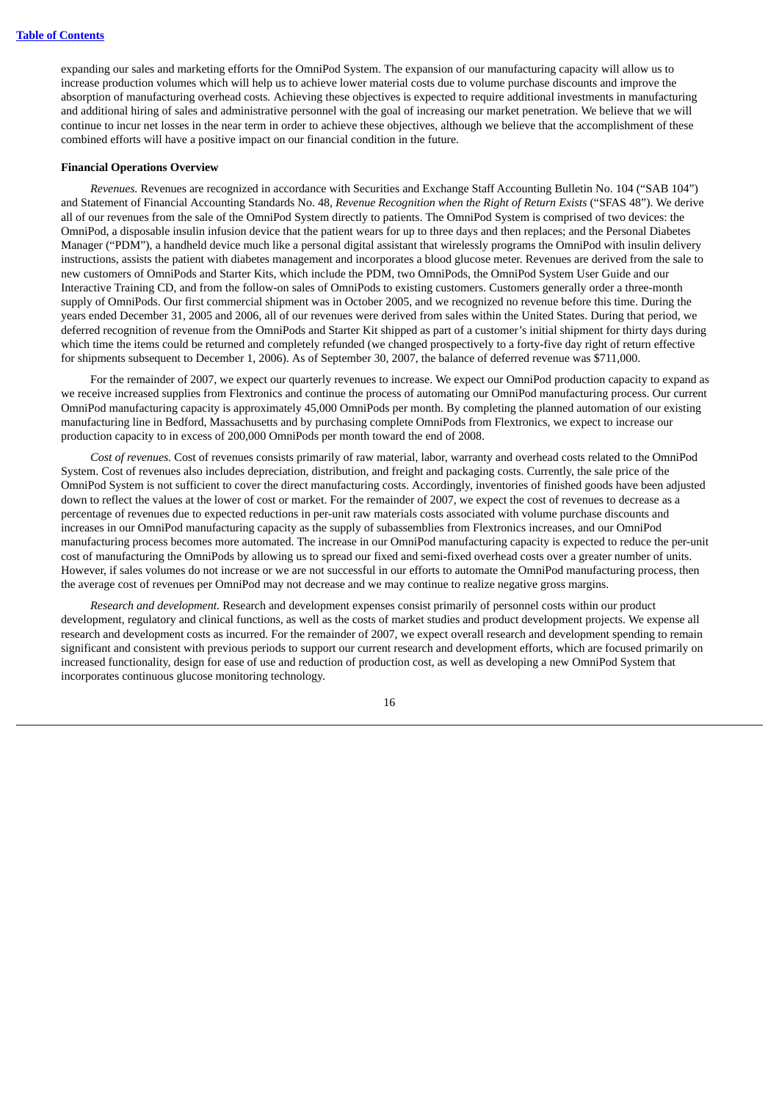expanding our sales and marketing efforts for the OmniPod System. The expansion of our manufacturing capacity will allow us to increase production volumes which will help us to achieve lower material costs due to volume purchase discounts and improve the absorption of manufacturing overhead costs. Achieving these objectives is expected to require additional investments in manufacturing and additional hiring of sales and administrative personnel with the goal of increasing our market penetration. We believe that we will continue to incur net losses in the near term in order to achieve these objectives, although we believe that the accomplishment of these combined efforts will have a positive impact on our financial condition in the future.

#### **Financial Operations Overview**

*Revenues.* Revenues are recognized in accordance with Securities and Exchange Staff Accounting Bulletin No. 104 ("SAB 104") and Statement of Financial Accounting Standards No. 48, *Revenue Recognition when the Right of Return Exists* ("SFAS 48"). We derive all of our revenues from the sale of the OmniPod System directly to patients. The OmniPod System is comprised of two devices: the OmniPod, a disposable insulin infusion device that the patient wears for up to three days and then replaces; and the Personal Diabetes Manager ("PDM"), a handheld device much like a personal digital assistant that wirelessly programs the OmniPod with insulin delivery instructions, assists the patient with diabetes management and incorporates a blood glucose meter. Revenues are derived from the sale to new customers of OmniPods and Starter Kits, which include the PDM, two OmniPods, the OmniPod System User Guide and our Interactive Training CD, and from the follow-on sales of OmniPods to existing customers. Customers generally order a three-month supply of OmniPods. Our first commercial shipment was in October 2005, and we recognized no revenue before this time. During the years ended December 31, 2005 and 2006, all of our revenues were derived from sales within the United States. During that period, we deferred recognition of revenue from the OmniPods and Starter Kit shipped as part of a customer's initial shipment for thirty days during which time the items could be returned and completely refunded (we changed prospectively to a forty-five day right of return effective for shipments subsequent to December 1, 2006). As of September 30, 2007, the balance of deferred revenue was \$711,000.

For the remainder of 2007, we expect our quarterly revenues to increase. We expect our OmniPod production capacity to expand as we receive increased supplies from Flextronics and continue the process of automating our OmniPod manufacturing process. Our current OmniPod manufacturing capacity is approximately 45,000 OmniPods per month. By completing the planned automation of our existing manufacturing line in Bedford, Massachusetts and by purchasing complete OmniPods from Flextronics, we expect to increase our production capacity to in excess of 200,000 OmniPods per month toward the end of 2008.

*Cost of revenues.* Cost of revenues consists primarily of raw material, labor, warranty and overhead costs related to the OmniPod System. Cost of revenues also includes depreciation, distribution, and freight and packaging costs. Currently, the sale price of the OmniPod System is not sufficient to cover the direct manufacturing costs. Accordingly, inventories of finished goods have been adjusted down to reflect the values at the lower of cost or market. For the remainder of 2007, we expect the cost of revenues to decrease as a percentage of revenues due to expected reductions in per-unit raw materials costs associated with volume purchase discounts and increases in our OmniPod manufacturing capacity as the supply of subassemblies from Flextronics increases, and our OmniPod manufacturing process becomes more automated. The increase in our OmniPod manufacturing capacity is expected to reduce the per-unit cost of manufacturing the OmniPods by allowing us to spread our fixed and semi-fixed overhead costs over a greater number of units. However, if sales volumes do not increase or we are not successful in our efforts to automate the OmniPod manufacturing process, then the average cost of revenues per OmniPod may not decrease and we may continue to realize negative gross margins.

*Research and development.* Research and development expenses consist primarily of personnel costs within our product development, regulatory and clinical functions, as well as the costs of market studies and product development projects. We expense all research and development costs as incurred. For the remainder of 2007, we expect overall research and development spending to remain significant and consistent with previous periods to support our current research and development efforts, which are focused primarily on increased functionality, design for ease of use and reduction of production cost, as well as developing a new OmniPod System that incorporates continuous glucose monitoring technology.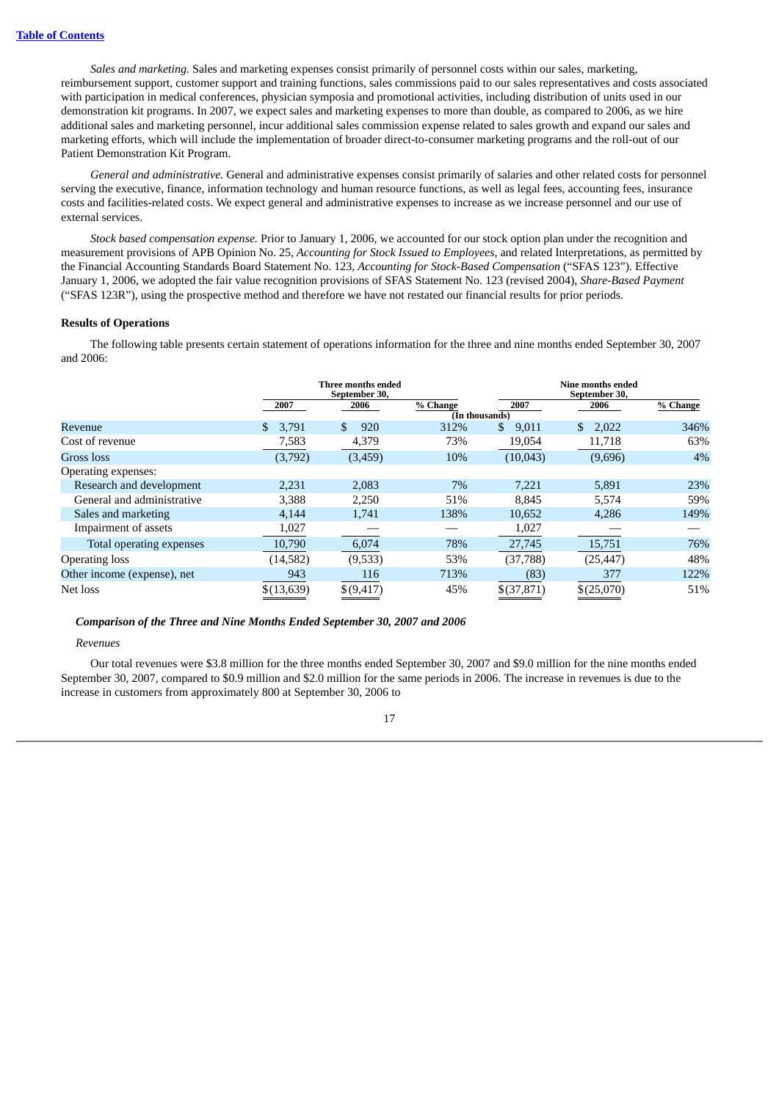*Sales and marketing.* Sales and marketing expenses consist primarily of personnel costs within our sales, marketing, reimbursement support, customer support and training functions, sales commissions paid to our sales representatives and costs associated with participation in medical conferences, physician symposia and promotional activities, including distribution of units used in our demonstration kit programs. In 2007, we expect sales and marketing expenses to more than double, as compared to 2006, as we hire additional sales and marketing personnel, incur additional sales commission expense related to sales growth and expand our sales and marketing efforts, which will include the implementation of broader direct-to-consumer marketing programs and the roll-out of our Patient Demonstration Kit Program.

*General and administrative.* General and administrative expenses consist primarily of salaries and other related costs for personnel serving the executive, finance, information technology and human resource functions, as well as legal fees, accounting fees, insurance costs and facilities-related costs. We expect general and administrative expenses to increase as we increase personnel and our use of external services.

*Stock based compensation expense.* Prior to January 1, 2006, we accounted for our stock option plan under the recognition and measurement provisions of APB Opinion No. 25, *Accounting for Stock Issued to Employees*, and related Interpretations, as permitted by the Financial Accounting Standards Board Statement No. 123, *Accounting for Stock-Based Compensation* ("SFAS 123"). Effective January 1, 2006, we adopted the fair value recognition provisions of SFAS Statement No. 123 (revised 2004), *Share-Based Payment* ("SFAS 123R"), using the prospective method and therefore we have not restated our financial results for prior periods.

#### **Results of Operations**

The following table presents certain statement of operations information for the three and nine months ended September 30, 2007 and 2006:

|                             |              | Three months ended<br>September 30, |                |              | Nine months ended<br>September 30, |          |
|-----------------------------|--------------|-------------------------------------|----------------|--------------|------------------------------------|----------|
|                             | 2007         | 2006                                | % Change       | 2007         | 2006                               | % Change |
|                             |              |                                     | (In thousands) |              |                                    |          |
| Revenue                     | \$.<br>3,791 | \$.<br>920                          | 312%           | \$<br>9,011  | \$<br>2,022                        | 346%     |
| Cost of revenue             | 7,583        | 4,379                               | 73%            | 19,054       | 11,718                             | 63%      |
| Gross loss                  | (3,792)      | (3, 459)                            | 10%            | (10, 043)    | (9,696)                            | 4%       |
| Operating expenses:         |              |                                     |                |              |                                    |          |
| Research and development    | 2.231        | 2,083                               | 7%             | 7.221        | 5,891                              | 23%      |
| General and administrative  | 3,388        | 2,250                               | 51%            | 8.845        | 5,574                              | 59%      |
| Sales and marketing         | 4,144        | 1,741                               | 138%           | 10,652       | 4,286                              | 149%     |
| Impairment of assets        | 1,027        |                                     |                | 1,027        |                                    |          |
| Total operating expenses    | 10,790       | 6,074                               | 78%            | 27,745       | 15,751                             | 76%      |
| <b>Operating loss</b>       | (14,582)     | (9,533)                             | 53%            | (37,788)     | (25, 447)                          | 48%      |
| Other income (expense), net | 943          | 116                                 | 713%           | (83)         | 377                                | 122%     |
| Net loss                    | \$(13, 639)  | \$(9, 417)                          | 45%            | $$$ (37,871) | \$(25,070)                         | 51%      |

#### *Comparison of the Three and Nine Months Ended September 30, 2007 and 2006*

#### *Revenues*

Our total revenues were \$3.8 million for the three months ended September 30, 2007 and \$9.0 million for the nine months ended September 30, 2007, compared to \$0.9 million and \$2.0 million for the same periods in 2006. The increase in revenues is due to the increase in customers from approximately 800 at September 30, 2006 to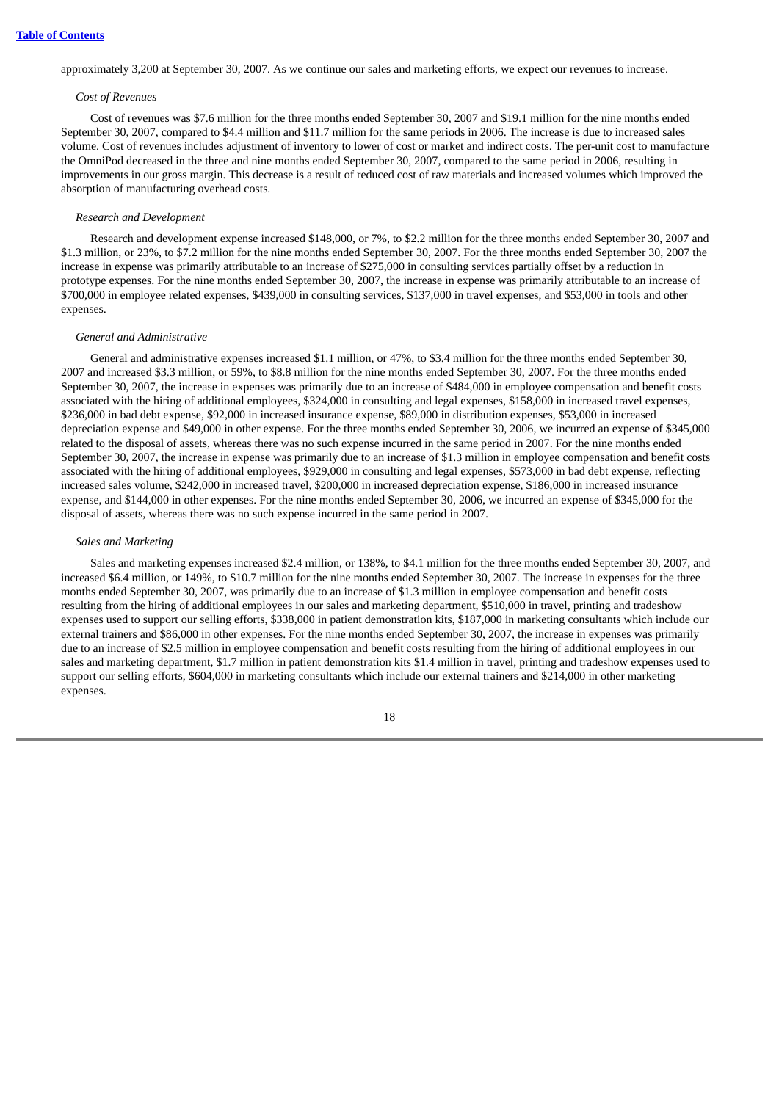approximately 3,200 at September 30, 2007. As we continue our sales and marketing efforts, we expect our revenues to increase.

#### *Cost of Revenues*

Cost of revenues was \$7.6 million for the three months ended September 30, 2007 and \$19.1 million for the nine months ended September 30, 2007, compared to \$4.4 million and \$11.7 million for the same periods in 2006. The increase is due to increased sales volume. Cost of revenues includes adjustment of inventory to lower of cost or market and indirect costs. The per-unit cost to manufacture the OmniPod decreased in the three and nine months ended September 30, 2007, compared to the same period in 2006, resulting in improvements in our gross margin. This decrease is a result of reduced cost of raw materials and increased volumes which improved the absorption of manufacturing overhead costs.

### *Research and Development*

Research and development expense increased \$148,000, or 7%, to \$2.2 million for the three months ended September 30, 2007 and \$1.3 million, or 23%, to \$7.2 million for the nine months ended September 30, 2007. For the three months ended September 30, 2007 the increase in expense was primarily attributable to an increase of \$275,000 in consulting services partially offset by a reduction in prototype expenses. For the nine months ended September 30, 2007, the increase in expense was primarily attributable to an increase of \$700,000 in employee related expenses, \$439,000 in consulting services, \$137,000 in travel expenses, and \$53,000 in tools and other expenses.

#### *General and Administrative*

General and administrative expenses increased \$1.1 million, or 47%, to \$3.4 million for the three months ended September 30, 2007 and increased \$3.3 million, or 59%, to \$8.8 million for the nine months ended September 30, 2007. For the three months ended September 30, 2007, the increase in expenses was primarily due to an increase of \$484,000 in employee compensation and benefit costs associated with the hiring of additional employees, \$324,000 in consulting and legal expenses, \$158,000 in increased travel expenses, \$236,000 in bad debt expense, \$92,000 in increased insurance expense, \$89,000 in distribution expenses, \$53,000 in increased depreciation expense and \$49,000 in other expense. For the three months ended September 30, 2006, we incurred an expense of \$345,000 related to the disposal of assets, whereas there was no such expense incurred in the same period in 2007. For the nine months ended September 30, 2007, the increase in expense was primarily due to an increase of \$1.3 million in employee compensation and benefit costs associated with the hiring of additional employees, \$929,000 in consulting and legal expenses, \$573,000 in bad debt expense, reflecting increased sales volume, \$242,000 in increased travel, \$200,000 in increased depreciation expense, \$186,000 in increased insurance expense, and \$144,000 in other expenses. For the nine months ended September 30, 2006, we incurred an expense of \$345,000 for the disposal of assets, whereas there was no such expense incurred in the same period in 2007.

#### *Sales and Marketing*

Sales and marketing expenses increased \$2.4 million, or 138%, to \$4.1 million for the three months ended September 30, 2007, and increased \$6.4 million, or 149%, to \$10.7 million for the nine months ended September 30, 2007. The increase in expenses for the three months ended September 30, 2007, was primarily due to an increase of \$1.3 million in employee compensation and benefit costs resulting from the hiring of additional employees in our sales and marketing department, \$510,000 in travel, printing and tradeshow expenses used to support our selling efforts, \$338,000 in patient demonstration kits, \$187,000 in marketing consultants which include our external trainers and \$86,000 in other expenses. For the nine months ended September 30, 2007, the increase in expenses was primarily due to an increase of \$2.5 million in employee compensation and benefit costs resulting from the hiring of additional employees in our sales and marketing department, \$1.7 million in patient demonstration kits \$1.4 million in travel, printing and tradeshow expenses used to support our selling efforts, \$604,000 in marketing consultants which include our external trainers and \$214,000 in other marketing expenses.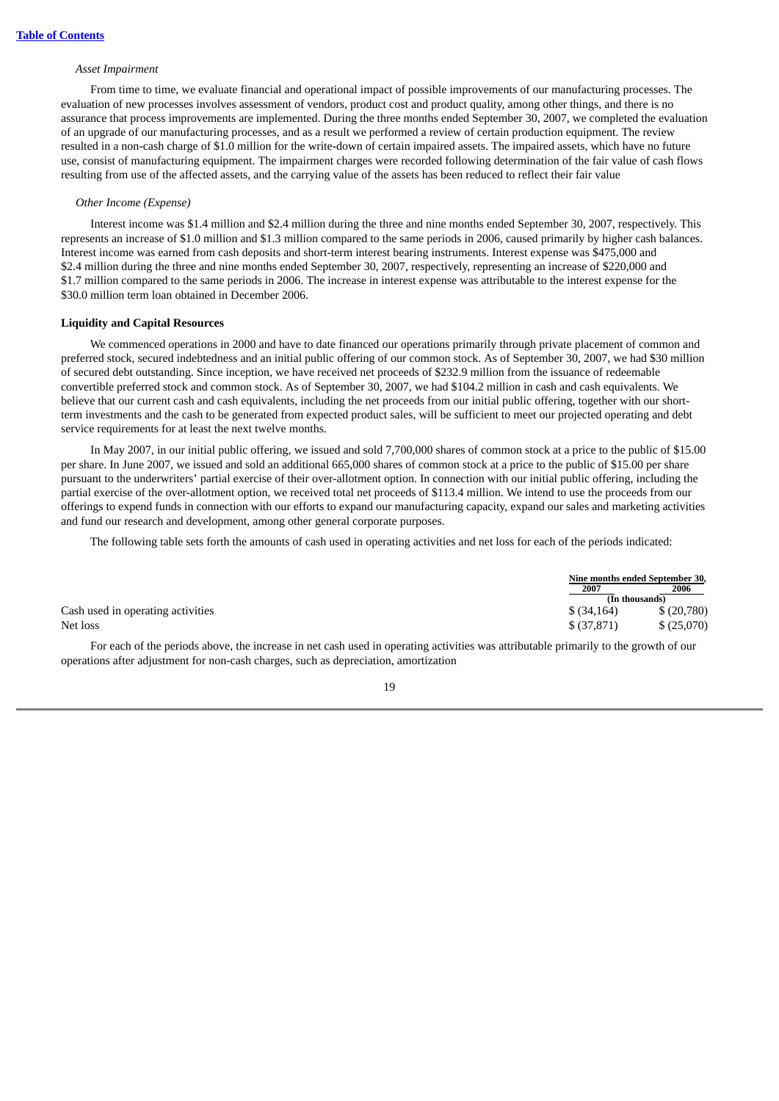#### *Asset Impairment*

From time to time, we evaluate financial and operational impact of possible improvements of our manufacturing processes. The evaluation of new processes involves assessment of vendors, product cost and product quality, among other things, and there is no assurance that process improvements are implemented. During the three months ended September 30, 2007, we completed the evaluation of an upgrade of our manufacturing processes, and as a result we performed a review of certain production equipment. The review resulted in a non-cash charge of \$1.0 million for the write-down of certain impaired assets. The impaired assets, which have no future use, consist of manufacturing equipment. The impairment charges were recorded following determination of the fair value of cash flows resulting from use of the affected assets, and the carrying value of the assets has been reduced to reflect their fair value

#### *Other Income (Expense)*

Interest income was \$1.4 million and \$2.4 million during the three and nine months ended September 30, 2007, respectively. This represents an increase of \$1.0 million and \$1.3 million compared to the same periods in 2006, caused primarily by higher cash balances. Interest income was earned from cash deposits and short-term interest bearing instruments. Interest expense was \$475,000 and \$2.4 million during the three and nine months ended September 30, 2007, respectively, representing an increase of \$220,000 and \$1.7 million compared to the same periods in 2006. The increase in interest expense was attributable to the interest expense for the \$30.0 million term loan obtained in December 2006.

#### **Liquidity and Capital Resources**

We commenced operations in 2000 and have to date financed our operations primarily through private placement of common and preferred stock, secured indebtedness and an initial public offering of our common stock. As of September 30, 2007, we had \$30 million of secured debt outstanding. Since inception, we have received net proceeds of \$232.9 million from the issuance of redeemable convertible preferred stock and common stock. As of September 30, 2007, we had \$104.2 million in cash and cash equivalents. We believe that our current cash and cash equivalents, including the net proceeds from our initial public offering, together with our shortterm investments and the cash to be generated from expected product sales, will be sufficient to meet our projected operating and debt service requirements for at least the next twelve months.

In May 2007, in our initial public offering, we issued and sold 7,700,000 shares of common stock at a price to the public of \$15.00 per share. In June 2007, we issued and sold an additional 665,000 shares of common stock at a price to the public of \$15.00 per share pursuant to the underwriters' partial exercise of their over-allotment option. In connection with our initial public offering, including the partial exercise of the over-allotment option, we received total net proceeds of \$113.4 million. We intend to use the proceeds from our offerings to expend funds in connection with our efforts to expand our manufacturing capacity, expand our sales and marketing activities and fund our research and development, among other general corporate purposes.

The following table sets forth the amounts of cash used in operating activities and net loss for each of the periods indicated:

|                                   | Nine months ended September 30, |            |
|-----------------------------------|---------------------------------|------------|
|                                   | 2007                            | 2006       |
|                                   | (In thousands)                  |            |
| Cash used in operating activities | $$$ (34,164)                    | \$(20,780) |
| Net loss                          | \$ (37,871)                     | \$(25,070) |

For each of the periods above, the increase in net cash used in operating activities was attributable primarily to the growth of our operations after adjustment for non-cash charges, such as depreciation, amortization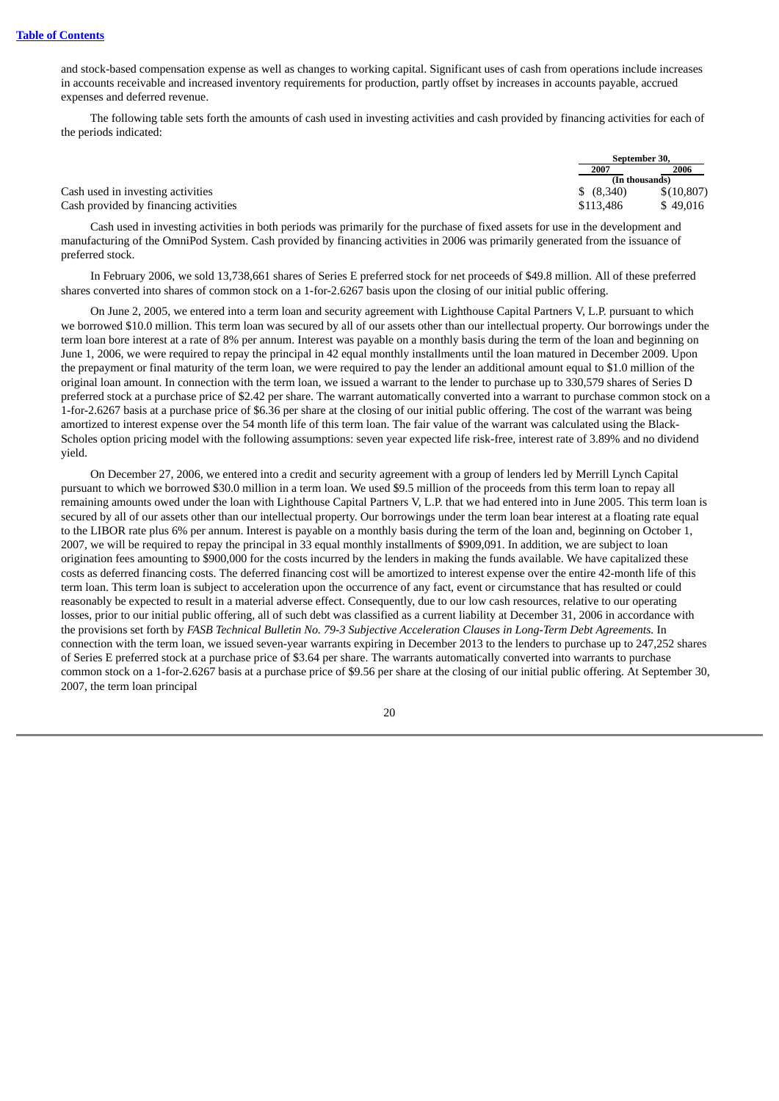and stock-based compensation expense as well as changes to working capital. Significant uses of cash from operations include increases in accounts receivable and increased inventory requirements for production, partly offset by increases in accounts payable, accrued expenses and deferred revenue.

The following table sets forth the amounts of cash used in investing activities and cash provided by financing activities for each of the periods indicated:

|                                       | September 30.  |            |  |
|---------------------------------------|----------------|------------|--|
|                                       | 2007           | 2006       |  |
|                                       | (In thousands) |            |  |
| Cash used in investing activities     | \$ (8,340)     | \$(10.807) |  |
| Cash provided by financing activities | \$113,486      | \$49,016   |  |

Cash used in investing activities in both periods was primarily for the purchase of fixed assets for use in the development and manufacturing of the OmniPod System. Cash provided by financing activities in 2006 was primarily generated from the issuance of preferred stock.

In February 2006, we sold 13,738,661 shares of Series E preferred stock for net proceeds of \$49.8 million. All of these preferred shares converted into shares of common stock on a 1-for-2.6267 basis upon the closing of our initial public offering.

On June 2, 2005, we entered into a term loan and security agreement with Lighthouse Capital Partners V, L.P. pursuant to which we borrowed \$10.0 million. This term loan was secured by all of our assets other than our intellectual property. Our borrowings under the term loan bore interest at a rate of 8% per annum. Interest was payable on a monthly basis during the term of the loan and beginning on June 1, 2006, we were required to repay the principal in 42 equal monthly installments until the loan matured in December 2009. Upon the prepayment or final maturity of the term loan, we were required to pay the lender an additional amount equal to \$1.0 million of the original loan amount. In connection with the term loan, we issued a warrant to the lender to purchase up to 330,579 shares of Series D preferred stock at a purchase price of \$2.42 per share. The warrant automatically converted into a warrant to purchase common stock on a 1-for-2.6267 basis at a purchase price of \$6.36 per share at the closing of our initial public offering. The cost of the warrant was being amortized to interest expense over the 54 month life of this term loan. The fair value of the warrant was calculated using the Black-Scholes option pricing model with the following assumptions: seven year expected life risk-free, interest rate of 3.89% and no dividend yield.

On December 27, 2006, we entered into a credit and security agreement with a group of lenders led by Merrill Lynch Capital pursuant to which we borrowed \$30.0 million in a term loan. We used \$9.5 million of the proceeds from this term loan to repay all remaining amounts owed under the loan with Lighthouse Capital Partners V, L.P. that we had entered into in June 2005. This term loan is secured by all of our assets other than our intellectual property. Our borrowings under the term loan bear interest at a floating rate equal to the LIBOR rate plus 6% per annum. Interest is payable on a monthly basis during the term of the loan and, beginning on October 1, 2007, we will be required to repay the principal in 33 equal monthly installments of \$909,091. In addition, we are subject to loan origination fees amounting to \$900,000 for the costs incurred by the lenders in making the funds available. We have capitalized these costs as deferred financing costs. The deferred financing cost will be amortized to interest expense over the entire 42-month life of this term loan. This term loan is subject to acceleration upon the occurrence of any fact, event or circumstance that has resulted or could reasonably be expected to result in a material adverse effect. Consequently, due to our low cash resources, relative to our operating losses, prior to our initial public offering, all of such debt was classified as a current liability at December 31, 2006 in accordance with the provisions set forth by *FASB Technical Bulletin No. 79-3 Subjective Acceleration Clauses in Long-Term Debt Agreements.* In connection with the term loan, we issued seven-year warrants expiring in December 2013 to the lenders to purchase up to 247,252 shares of Series E preferred stock at a purchase price of \$3.64 per share. The warrants automatically converted into warrants to purchase common stock on a 1-for-2.6267 basis at a purchase price of \$9.56 per share at the closing of our initial public offering. At September 30, 2007, the term loan principal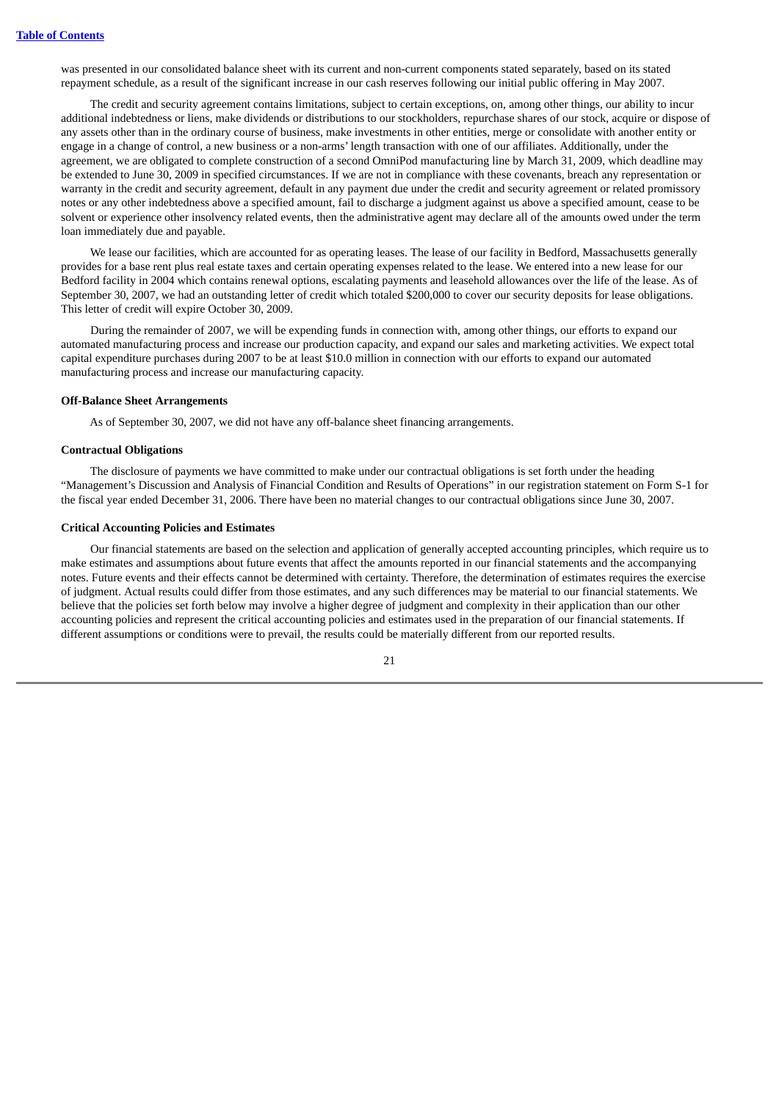was presented in our consolidated balance sheet with its current and non-current components stated separately, based on its stated repayment schedule, as a result of the significant increase in our cash reserves following our initial public offering in May 2007.

The credit and security agreement contains limitations, subject to certain exceptions, on, among other things, our ability to incur additional indebtedness or liens, make dividends or distributions to our stockholders, repurchase shares of our stock, acquire or dispose of any assets other than in the ordinary course of business, make investments in other entities, merge or consolidate with another entity or engage in a change of control, a new business or a non-arms' length transaction with one of our affiliates. Additionally, under the agreement, we are obligated to complete construction of a second OmniPod manufacturing line by March 31, 2009, which deadline may be extended to June 30, 2009 in specified circumstances. If we are not in compliance with these covenants, breach any representation or warranty in the credit and security agreement, default in any payment due under the credit and security agreement or related promissory notes or any other indebtedness above a specified amount, fail to discharge a judgment against us above a specified amount, cease to be solvent or experience other insolvency related events, then the administrative agent may declare all of the amounts owed under the term loan immediately due and payable.

We lease our facilities, which are accounted for as operating leases. The lease of our facility in Bedford, Massachusetts generally provides for a base rent plus real estate taxes and certain operating expenses related to the lease. We entered into a new lease for our Bedford facility in 2004 which contains renewal options, escalating payments and leasehold allowances over the life of the lease. As of September 30, 2007, we had an outstanding letter of credit which totaled \$200,000 to cover our security deposits for lease obligations. This letter of credit will expire October 30, 2009.

During the remainder of 2007, we will be expending funds in connection with, among other things, our efforts to expand our automated manufacturing process and increase our production capacity, and expand our sales and marketing activities. We expect total capital expenditure purchases during 2007 to be at least \$10.0 million in connection with our efforts to expand our automated manufacturing process and increase our manufacturing capacity.

#### **Off-Balance Sheet Arrangements**

As of September 30, 2007, we did not have any off-balance sheet financing arrangements.

#### **Contractual Obligations**

The disclosure of payments we have committed to make under our contractual obligations is set forth under the heading "Management's Discussion and Analysis of Financial Condition and Results of Operations" in our registration statement on Form S-1 for the fiscal year ended December 31, 2006. There have been no material changes to our contractual obligations since June 30, 2007.

#### **Critical Accounting Policies and Estimates**

Our financial statements are based on the selection and application of generally accepted accounting principles, which require us to make estimates and assumptions about future events that affect the amounts reported in our financial statements and the accompanying notes. Future events and their effects cannot be determined with certainty. Therefore, the determination of estimates requires the exercise of judgment. Actual results could differ from those estimates, and any such differences may be material to our financial statements. We believe that the policies set forth below may involve a higher degree of judgment and complexity in their application than our other accounting policies and represent the critical accounting policies and estimates used in the preparation of our financial statements. If different assumptions or conditions were to prevail, the results could be materially different from our reported results.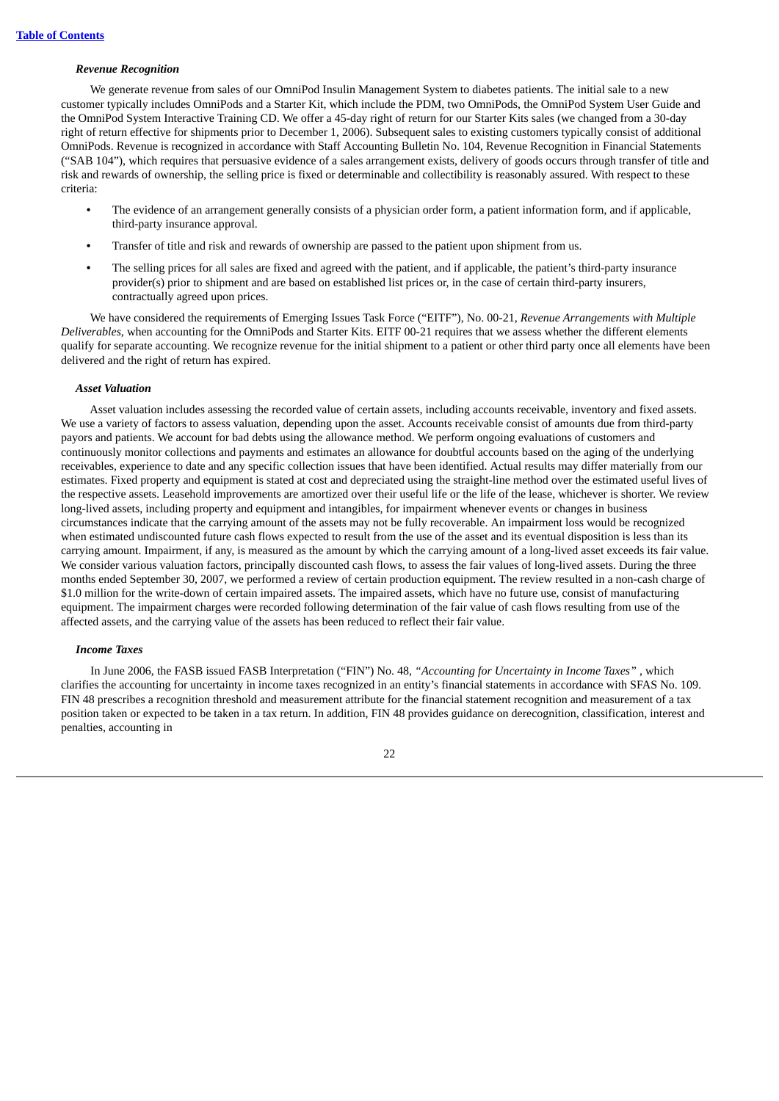#### *Revenue Recognition*

We generate revenue from sales of our OmniPod Insulin Management System to diabetes patients. The initial sale to a new customer typically includes OmniPods and a Starter Kit, which include the PDM, two OmniPods, the OmniPod System User Guide and the OmniPod System Interactive Training CD. We offer a 45-day right of return for our Starter Kits sales (we changed from a 30-day right of return effective for shipments prior to December 1, 2006). Subsequent sales to existing customers typically consist of additional OmniPods. Revenue is recognized in accordance with Staff Accounting Bulletin No. 104, Revenue Recognition in Financial Statements ("SAB 104"), which requires that persuasive evidence of a sales arrangement exists, delivery of goods occurs through transfer of title and risk and rewards of ownership, the selling price is fixed or determinable and collectibility is reasonably assured. With respect to these criteria:

- **•** The evidence of an arrangement generally consists of a physician order form, a patient information form, and if applicable, third-party insurance approval.
- **•** Transfer of title and risk and rewards of ownership are passed to the patient upon shipment from us.
- **•** The selling prices for all sales are fixed and agreed with the patient, and if applicable, the patient's third-party insurance provider(s) prior to shipment and are based on established list prices or, in the case of certain third-party insurers, contractually agreed upon prices.

We have considered the requirements of Emerging Issues Task Force ("EITF"), No. 00-21, *Revenue Arrangements with Multiple Deliverables*, when accounting for the OmniPods and Starter Kits. EITF 00-21 requires that we assess whether the different elements qualify for separate accounting. We recognize revenue for the initial shipment to a patient or other third party once all elements have been delivered and the right of return has expired.

#### *Asset Valuation*

Asset valuation includes assessing the recorded value of certain assets, including accounts receivable, inventory and fixed assets. We use a variety of factors to assess valuation, depending upon the asset. Accounts receivable consist of amounts due from third-party payors and patients. We account for bad debts using the allowance method. We perform ongoing evaluations of customers and continuously monitor collections and payments and estimates an allowance for doubtful accounts based on the aging of the underlying receivables, experience to date and any specific collection issues that have been identified. Actual results may differ materially from our estimates. Fixed property and equipment is stated at cost and depreciated using the straight-line method over the estimated useful lives of the respective assets. Leasehold improvements are amortized over their useful life or the life of the lease, whichever is shorter. We review long-lived assets, including property and equipment and intangibles, for impairment whenever events or changes in business circumstances indicate that the carrying amount of the assets may not be fully recoverable. An impairment loss would be recognized when estimated undiscounted future cash flows expected to result from the use of the asset and its eventual disposition is less than its carrying amount. Impairment, if any, is measured as the amount by which the carrying amount of a long-lived asset exceeds its fair value. We consider various valuation factors, principally discounted cash flows, to assess the fair values of long-lived assets. During the three months ended September 30, 2007, we performed a review of certain production equipment. The review resulted in a non-cash charge of \$1.0 million for the write-down of certain impaired assets. The impaired assets, which have no future use, consist of manufacturing equipment. The impairment charges were recorded following determination of the fair value of cash flows resulting from use of the affected assets, and the carrying value of the assets has been reduced to reflect their fair value.

#### *Income Taxes*

In June 2006, the FASB issued FASB Interpretation ("FIN") No. 48, *"Accounting for Uncertainty in Income Taxes"* , which clarifies the accounting for uncertainty in income taxes recognized in an entity's financial statements in accordance with SFAS No. 109. FIN 48 prescribes a recognition threshold and measurement attribute for the financial statement recognition and measurement of a tax position taken or expected to be taken in a tax return. In addition, FIN 48 provides guidance on derecognition, classification, interest and penalties, accounting in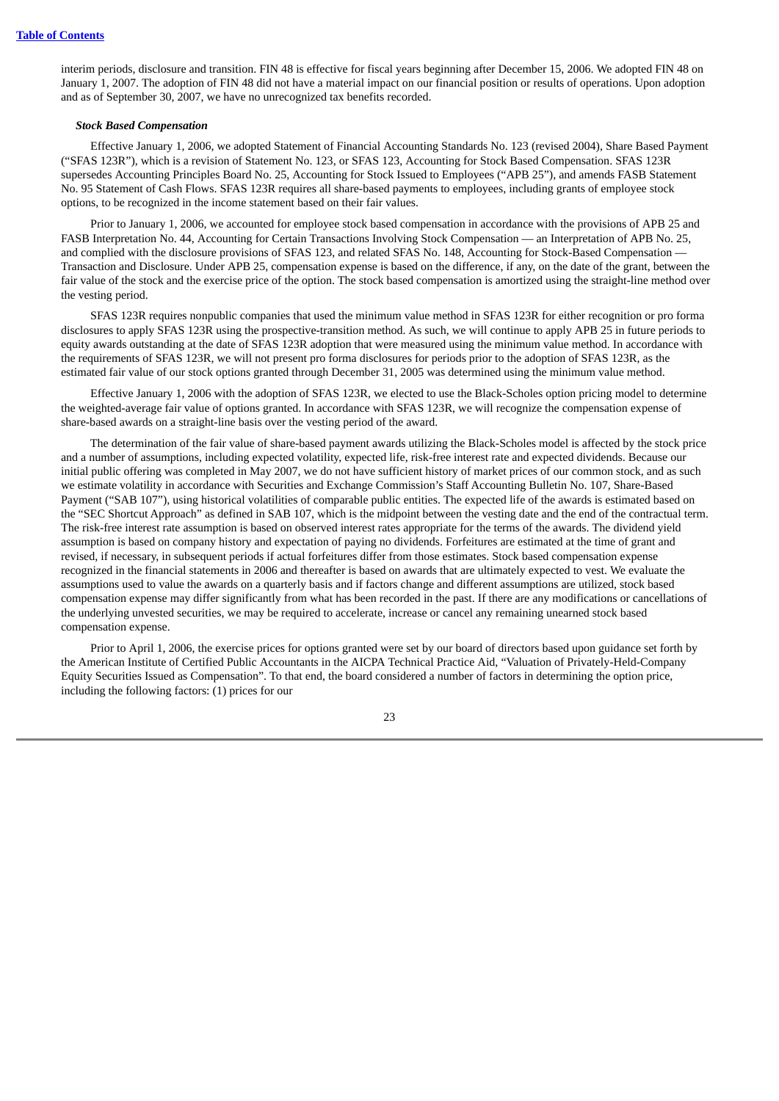interim periods, disclosure and transition. FIN 48 is effective for fiscal years beginning after December 15, 2006. We adopted FIN 48 on January 1, 2007. The adoption of FIN 48 did not have a material impact on our financial position or results of operations. Upon adoption and as of September 30, 2007, we have no unrecognized tax benefits recorded.

#### *Stock Based Compensation*

Effective January 1, 2006, we adopted Statement of Financial Accounting Standards No. 123 (revised 2004), Share Based Payment ("SFAS 123R"), which is a revision of Statement No. 123, or SFAS 123, Accounting for Stock Based Compensation. SFAS 123R supersedes Accounting Principles Board No. 25, Accounting for Stock Issued to Employees ("APB 25"), and amends FASB Statement No. 95 Statement of Cash Flows. SFAS 123R requires all share-based payments to employees, including grants of employee stock options, to be recognized in the income statement based on their fair values.

Prior to January 1, 2006, we accounted for employee stock based compensation in accordance with the provisions of APB 25 and FASB Interpretation No. 44, Accounting for Certain Transactions Involving Stock Compensation — an Interpretation of APB No. 25, and complied with the disclosure provisions of SFAS 123, and related SFAS No. 148, Accounting for Stock-Based Compensation — Transaction and Disclosure. Under APB 25, compensation expense is based on the difference, if any, on the date of the grant, between the fair value of the stock and the exercise price of the option. The stock based compensation is amortized using the straight-line method over the vesting period.

SFAS 123R requires nonpublic companies that used the minimum value method in SFAS 123R for either recognition or pro forma disclosures to apply SFAS 123R using the prospective-transition method. As such, we will continue to apply APB 25 in future periods to equity awards outstanding at the date of SFAS 123R adoption that were measured using the minimum value method. In accordance with the requirements of SFAS 123R, we will not present pro forma disclosures for periods prior to the adoption of SFAS 123R, as the estimated fair value of our stock options granted through December 31, 2005 was determined using the minimum value method.

Effective January 1, 2006 with the adoption of SFAS 123R, we elected to use the Black-Scholes option pricing model to determine the weighted-average fair value of options granted. In accordance with SFAS 123R, we will recognize the compensation expense of share-based awards on a straight-line basis over the vesting period of the award.

The determination of the fair value of share-based payment awards utilizing the Black-Scholes model is affected by the stock price and a number of assumptions, including expected volatility, expected life, risk-free interest rate and expected dividends. Because our initial public offering was completed in May 2007, we do not have sufficient history of market prices of our common stock, and as such we estimate volatility in accordance with Securities and Exchange Commission's Staff Accounting Bulletin No. 107, Share-Based Payment ("SAB 107"), using historical volatilities of comparable public entities. The expected life of the awards is estimated based on the "SEC Shortcut Approach" as defined in SAB 107, which is the midpoint between the vesting date and the end of the contractual term. The risk-free interest rate assumption is based on observed interest rates appropriate for the terms of the awards. The dividend yield assumption is based on company history and expectation of paying no dividends. Forfeitures are estimated at the time of grant and revised, if necessary, in subsequent periods if actual forfeitures differ from those estimates. Stock based compensation expense recognized in the financial statements in 2006 and thereafter is based on awards that are ultimately expected to vest. We evaluate the assumptions used to value the awards on a quarterly basis and if factors change and different assumptions are utilized, stock based compensation expense may differ significantly from what has been recorded in the past. If there are any modifications or cancellations of the underlying unvested securities, we may be required to accelerate, increase or cancel any remaining unearned stock based compensation expense.

Prior to April 1, 2006, the exercise prices for options granted were set by our board of directors based upon guidance set forth by the American Institute of Certified Public Accountants in the AICPA Technical Practice Aid, "Valuation of Privately-Held-Company Equity Securities Issued as Compensation". To that end, the board considered a number of factors in determining the option price, including the following factors: (1) prices for our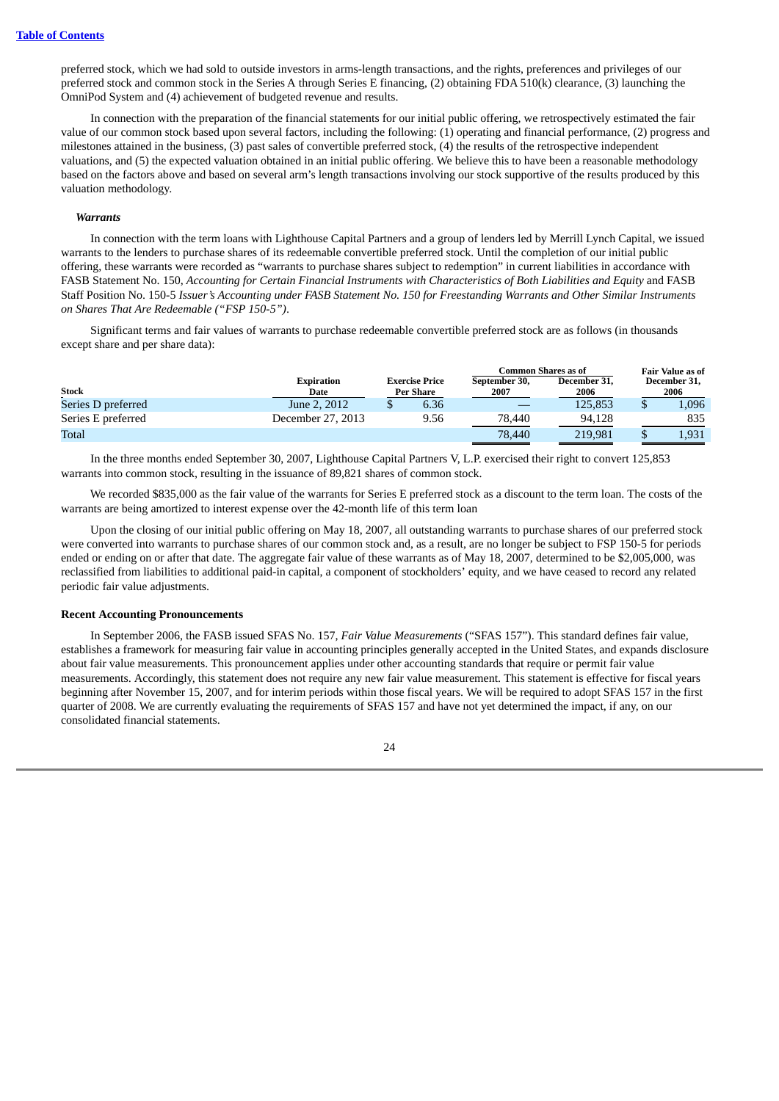preferred stock, which we had sold to outside investors in arms-length transactions, and the rights, preferences and privileges of our preferred stock and common stock in the Series A through Series E financing, (2) obtaining FDA 510(k) clearance, (3) launching the OmniPod System and (4) achievement of budgeted revenue and results.

In connection with the preparation of the financial statements for our initial public offering, we retrospectively estimated the fair value of our common stock based upon several factors, including the following: (1) operating and financial performance, (2) progress and milestones attained in the business, (3) past sales of convertible preferred stock, (4) the results of the retrospective independent valuations, and (5) the expected valuation obtained in an initial public offering. We believe this to have been a reasonable methodology based on the factors above and based on several arm's length transactions involving our stock supportive of the results produced by this valuation methodology.

#### *Warrants*

In connection with the term loans with Lighthouse Capital Partners and a group of lenders led by Merrill Lynch Capital, we issued warrants to the lenders to purchase shares of its redeemable convertible preferred stock. Until the completion of our initial public offering, these warrants were recorded as "warrants to purchase shares subject to redemption" in current liabilities in accordance with FASB Statement No. 150, *Accounting for Certain Financial Instruments with Characteristics of Both Liabilities and Equity* and FASB Staff Position No. 150-5 Issuer's Accounting under FASB Statement No. 150 for Freestanding Warrants and Other Similar Instruments *on Shares That Are Redeemable ("FSP 150-5")*.

Significant terms and fair values of warrants to purchase redeemable convertible preferred stock are as follows (in thousands except share and per share data):

|                    |                           |                                           | Common Shares as of   | <b>Fair Value as of</b> |                      |
|--------------------|---------------------------|-------------------------------------------|-----------------------|-------------------------|----------------------|
| <b>Stock</b>       | <b>Expiration</b><br>Date | <b>Exercise Price</b><br><b>Per Share</b> | September 30,<br>2007 | December 31,<br>2006    | December 31,<br>2006 |
| Series D preferred | June 2, 2012              | 6.36                                      |                       | 125.853                 | 1,096                |
| Series E preferred | December 27, 2013         | 9.56                                      | 78,440                | 94.128                  | 835                  |
| Total              |                           |                                           | 78,440                | 219.981                 | 1,931                |

In the three months ended September 30, 2007, Lighthouse Capital Partners V, L.P. exercised their right to convert 125,853 warrants into common stock, resulting in the issuance of 89,821 shares of common stock.

We recorded \$835,000 as the fair value of the warrants for Series E preferred stock as a discount to the term loan. The costs of the warrants are being amortized to interest expense over the 42-month life of this term loan

Upon the closing of our initial public offering on May 18, 2007, all outstanding warrants to purchase shares of our preferred stock were converted into warrants to purchase shares of our common stock and, as a result, are no longer be subject to FSP 150-5 for periods ended or ending on or after that date. The aggregate fair value of these warrants as of May 18, 2007, determined to be \$2,005,000, was reclassified from liabilities to additional paid-in capital, a component of stockholders' equity, and we have ceased to record any related periodic fair value adjustments.

#### **Recent Accounting Pronouncements**

In September 2006, the FASB issued SFAS No. 157, *Fair Value Measurements* ("SFAS 157"). This standard defines fair value, establishes a framework for measuring fair value in accounting principles generally accepted in the United States, and expands disclosure about fair value measurements. This pronouncement applies under other accounting standards that require or permit fair value measurements. Accordingly, this statement does not require any new fair value measurement. This statement is effective for fiscal years beginning after November 15, 2007, and for interim periods within those fiscal years. We will be required to adopt SFAS 157 in the first quarter of 2008. We are currently evaluating the requirements of SFAS 157 and have not yet determined the impact, if any, on our consolidated financial statements.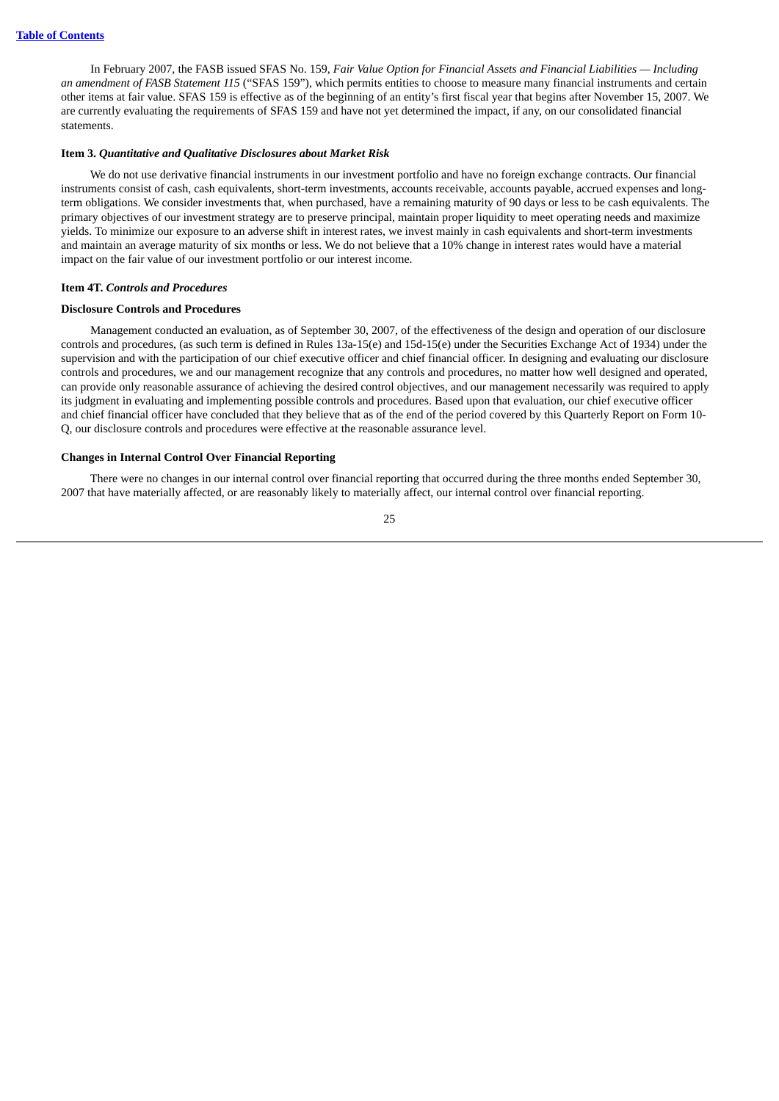In February 2007, the FASB issued SFAS No. 159, *Fair Value Option for Financial Assets and Financial Liabilities — Including an amendment of FASB Statement 115* ("SFAS 159"), which permits entities to choose to measure many financial instruments and certain other items at fair value. SFAS 159 is effective as of the beginning of an entity's first fiscal year that begins after November 15, 2007. We are currently evaluating the requirements of SFAS 159 and have not yet determined the impact, if any, on our consolidated financial statements.

#### <span id="page-27-0"></span>**Item 3.** *Quantitative and Qualitative Disclosures about Market Risk*

We do not use derivative financial instruments in our investment portfolio and have no foreign exchange contracts. Our financial instruments consist of cash, cash equivalents, short-term investments, accounts receivable, accounts payable, accrued expenses and longterm obligations. We consider investments that, when purchased, have a remaining maturity of 90 days or less to be cash equivalents. The primary objectives of our investment strategy are to preserve principal, maintain proper liquidity to meet operating needs and maximize yields. To minimize our exposure to an adverse shift in interest rates, we invest mainly in cash equivalents and short-term investments and maintain an average maturity of six months or less. We do not believe that a 10% change in interest rates would have a material impact on the fair value of our investment portfolio or our interest income.

#### <span id="page-27-1"></span>**Item 4T.** *Controls and Procedures*

#### **Disclosure Controls and Procedures**

Management conducted an evaluation, as of September 30, 2007, of the effectiveness of the design and operation of our disclosure controls and procedures, (as such term is defined in Rules 13a-15(e) and 15d-15(e) under the Securities Exchange Act of 1934) under the supervision and with the participation of our chief executive officer and chief financial officer. In designing and evaluating our disclosure controls and procedures, we and our management recognize that any controls and procedures, no matter how well designed and operated, can provide only reasonable assurance of achieving the desired control objectives, and our management necessarily was required to apply its judgment in evaluating and implementing possible controls and procedures. Based upon that evaluation, our chief executive officer and chief financial officer have concluded that they believe that as of the end of the period covered by this Quarterly Report on Form 10- Q, our disclosure controls and procedures were effective at the reasonable assurance level.

#### **Changes in Internal Control Over Financial Reporting**

There were no changes in our internal control over financial reporting that occurred during the three months ended September 30, 2007 that have materially affected, or are reasonably likely to materially affect, our internal control over financial reporting.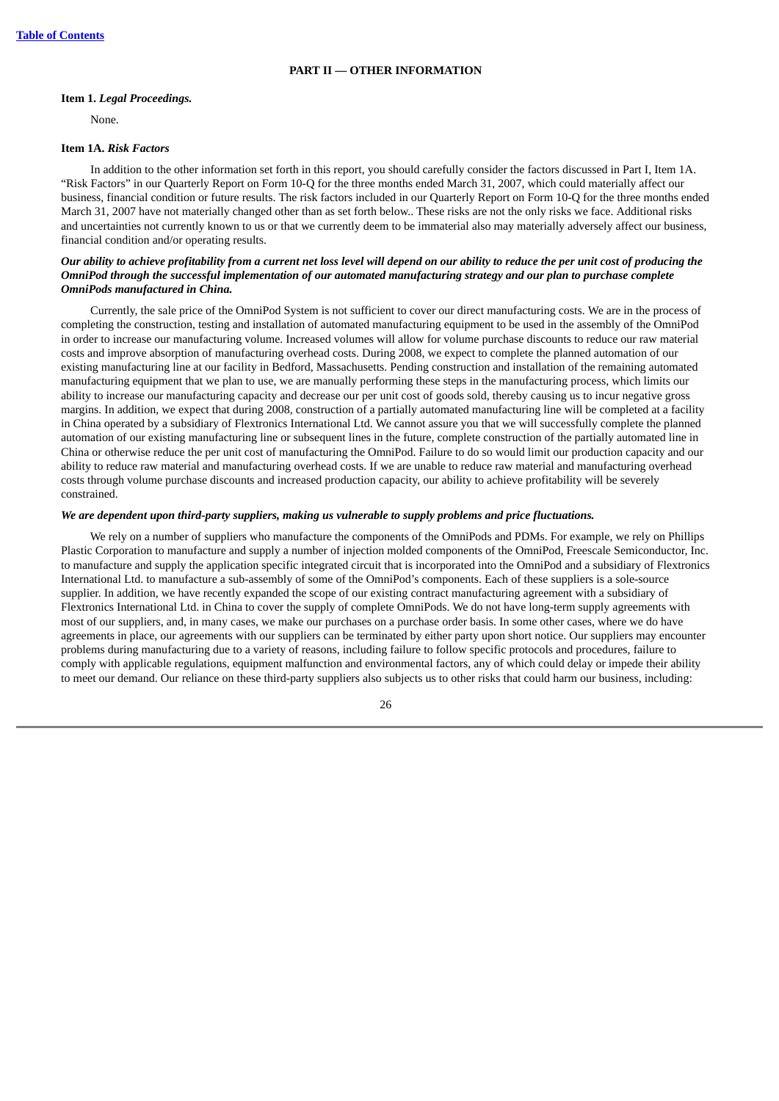#### **PART II — OTHER INFORMATION**

#### <span id="page-28-1"></span><span id="page-28-0"></span>**Item 1.** *Legal Proceedings.*

None.

#### <span id="page-28-2"></span>**Item 1A.** *Risk Factors*

In addition to the other information set forth in this report, you should carefully consider the factors discussed in Part I, Item 1A. "Risk Factors" in our Quarterly Report on Form 10-Q for the three months ended March 31, 2007, which could materially affect our business, financial condition or future results. The risk factors included in our Quarterly Report on Form 10-Q for the three months ended March 31, 2007 have not materially changed other than as set forth below.. These risks are not the only risks we face. Additional risks and uncertainties not currently known to us or that we currently deem to be immaterial also may materially adversely affect our business, financial condition and/or operating results.

#### Our ability to achieve profitability from a current net loss level will depend on our ability to reduce the per unit cost of producing the OmniPod through the successful implementation of our automated manufacturing strategy and our plan to purchase complete *OmniPods manufactured in China.*

Currently, the sale price of the OmniPod System is not sufficient to cover our direct manufacturing costs. We are in the process of completing the construction, testing and installation of automated manufacturing equipment to be used in the assembly of the OmniPod in order to increase our manufacturing volume. Increased volumes will allow for volume purchase discounts to reduce our raw material costs and improve absorption of manufacturing overhead costs. During 2008, we expect to complete the planned automation of our existing manufacturing line at our facility in Bedford, Massachusetts. Pending construction and installation of the remaining automated manufacturing equipment that we plan to use, we are manually performing these steps in the manufacturing process, which limits our ability to increase our manufacturing capacity and decrease our per unit cost of goods sold, thereby causing us to incur negative gross margins. In addition, we expect that during 2008, construction of a partially automated manufacturing line will be completed at a facility in China operated by a subsidiary of Flextronics International Ltd. We cannot assure you that we will successfully complete the planned automation of our existing manufacturing line or subsequent lines in the future, complete construction of the partially automated line in China or otherwise reduce the per unit cost of manufacturing the OmniPod. Failure to do so would limit our production capacity and our ability to reduce raw material and manufacturing overhead costs. If we are unable to reduce raw material and manufacturing overhead costs through volume purchase discounts and increased production capacity, our ability to achieve profitability will be severely constrained.

#### *We are dependent upon third-party suppliers, making us vulnerable to supply problems and price fluctuations.*

We rely on a number of suppliers who manufacture the components of the OmniPods and PDMs. For example, we rely on Phillips Plastic Corporation to manufacture and supply a number of injection molded components of the OmniPod, Freescale Semiconductor, Inc. to manufacture and supply the application specific integrated circuit that is incorporated into the OmniPod and a subsidiary of Flextronics International Ltd. to manufacture a sub-assembly of some of the OmniPod's components. Each of these suppliers is a sole-source supplier. In addition, we have recently expanded the scope of our existing contract manufacturing agreement with a subsidiary of Flextronics International Ltd. in China to cover the supply of complete OmniPods. We do not have long-term supply agreements with most of our suppliers, and, in many cases, we make our purchases on a purchase order basis. In some other cases, where we do have agreements in place, our agreements with our suppliers can be terminated by either party upon short notice. Our suppliers may encounter problems during manufacturing due to a variety of reasons, including failure to follow specific protocols and procedures, failure to comply with applicable regulations, equipment malfunction and environmental factors, any of which could delay or impede their ability to meet our demand. Our reliance on these third-party suppliers also subjects us to other risks that could harm our business, including: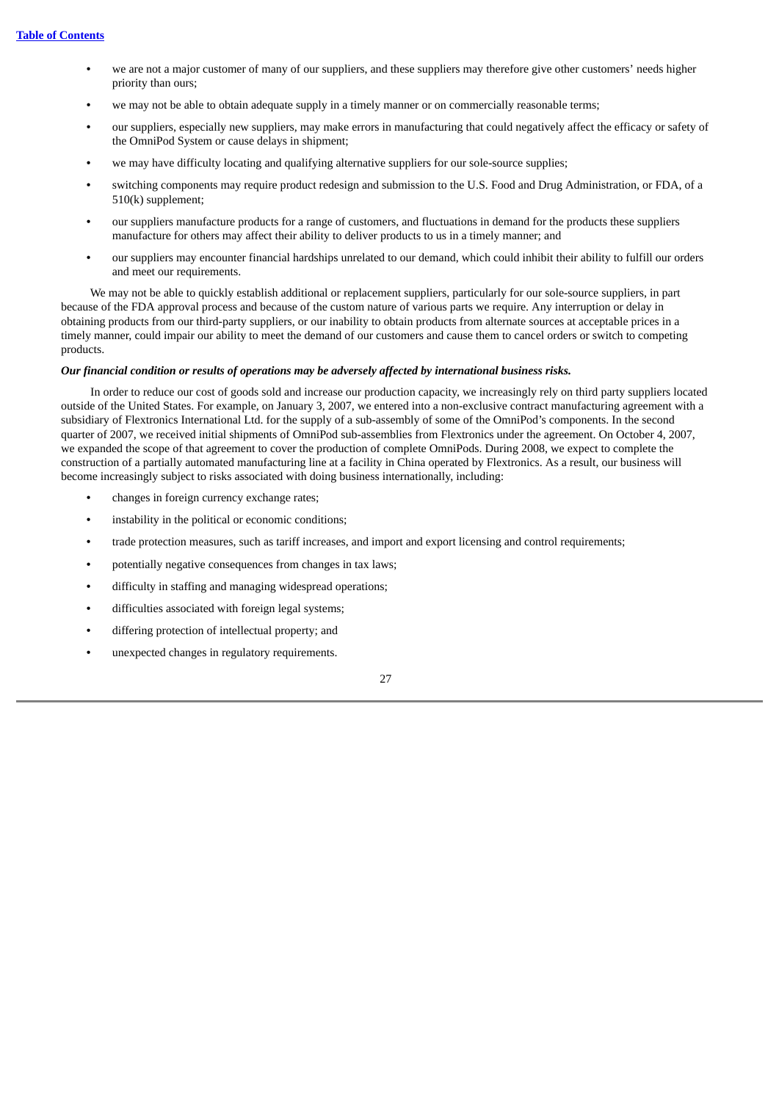- **•** we are not a major customer of many of our suppliers, and these suppliers may therefore give other customers' needs higher priority than ours;
- **•** we may not be able to obtain adequate supply in a timely manner or on commercially reasonable terms;
- **•** our suppliers, especially new suppliers, may make errors in manufacturing that could negatively affect the efficacy or safety of the OmniPod System or cause delays in shipment;
- **•** we may have difficulty locating and qualifying alternative suppliers for our sole-source supplies;
- **•** switching components may require product redesign and submission to the U.S. Food and Drug Administration, or FDA, of a 510(k) supplement;
- **•** our suppliers manufacture products for a range of customers, and fluctuations in demand for the products these suppliers manufacture for others may affect their ability to deliver products to us in a timely manner; and
- **•** our suppliers may encounter financial hardships unrelated to our demand, which could inhibit their ability to fulfill our orders and meet our requirements.

We may not be able to quickly establish additional or replacement suppliers, particularly for our sole-source suppliers, in part because of the FDA approval process and because of the custom nature of various parts we require. Any interruption or delay in obtaining products from our third-party suppliers, or our inability to obtain products from alternate sources at acceptable prices in a timely manner, could impair our ability to meet the demand of our customers and cause them to cancel orders or switch to competing products.

#### *Our financial condition or results of operations may be adversely affected by international business risks.*

In order to reduce our cost of goods sold and increase our production capacity, we increasingly rely on third party suppliers located outside of the United States. For example, on January 3, 2007, we entered into a non-exclusive contract manufacturing agreement with a subsidiary of Flextronics International Ltd. for the supply of a sub-assembly of some of the OmniPod's components. In the second quarter of 2007, we received initial shipments of OmniPod sub-assemblies from Flextronics under the agreement. On October 4, 2007, we expanded the scope of that agreement to cover the production of complete OmniPods. During 2008, we expect to complete the construction of a partially automated manufacturing line at a facility in China operated by Flextronics. As a result, our business will become increasingly subject to risks associated with doing business internationally, including:

- **•** changes in foreign currency exchange rates;
- **•** instability in the political or economic conditions;
- **•** trade protection measures, such as tariff increases, and import and export licensing and control requirements;
- **•** potentially negative consequences from changes in tax laws;
- **•** difficulty in staffing and managing widespread operations;
- **•** difficulties associated with foreign legal systems;
- **•** differing protection of intellectual property; and
- **•** unexpected changes in regulatory requirements.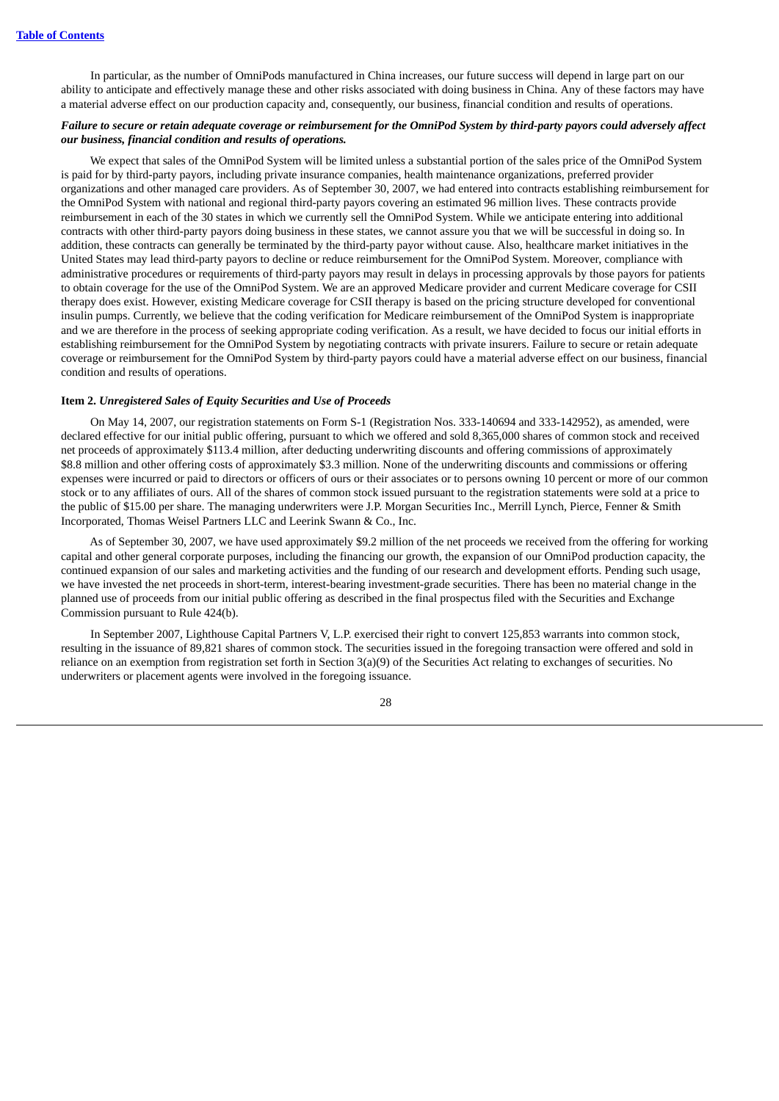In particular, as the number of OmniPods manufactured in China increases, our future success will depend in large part on our ability to anticipate and effectively manage these and other risks associated with doing business in China. Any of these factors may have a material adverse effect on our production capacity and, consequently, our business, financial condition and results of operations.

#### Failure to secure or retain adequate coverage or reimbursement for the OmniPod System by third-party payors could adversely affect *our business, financial condition and results of operations.*

We expect that sales of the OmniPod System will be limited unless a substantial portion of the sales price of the OmniPod System is paid for by third-party payors, including private insurance companies, health maintenance organizations, preferred provider organizations and other managed care providers. As of September 30, 2007, we had entered into contracts establishing reimbursement for the OmniPod System with national and regional third-party payors covering an estimated 96 million lives. These contracts provide reimbursement in each of the 30 states in which we currently sell the OmniPod System. While we anticipate entering into additional contracts with other third-party payors doing business in these states, we cannot assure you that we will be successful in doing so. In addition, these contracts can generally be terminated by the third-party payor without cause. Also, healthcare market initiatives in the United States may lead third-party payors to decline or reduce reimbursement for the OmniPod System. Moreover, compliance with administrative procedures or requirements of third-party payors may result in delays in processing approvals by those payors for patients to obtain coverage for the use of the OmniPod System. We are an approved Medicare provider and current Medicare coverage for CSII therapy does exist. However, existing Medicare coverage for CSII therapy is based on the pricing structure developed for conventional insulin pumps. Currently, we believe that the coding verification for Medicare reimbursement of the OmniPod System is inappropriate and we are therefore in the process of seeking appropriate coding verification. As a result, we have decided to focus our initial efforts in establishing reimbursement for the OmniPod System by negotiating contracts with private insurers. Failure to secure or retain adequate coverage or reimbursement for the OmniPod System by third-party payors could have a material adverse effect on our business, financial condition and results of operations.

#### <span id="page-30-0"></span>**Item 2.** *Unregistered Sales of Equity Securities and Use of Proceeds*

On May 14, 2007, our registration statements on Form S-1 (Registration Nos. 333-140694 and 333-142952), as amended, were declared effective for our initial public offering, pursuant to which we offered and sold 8,365,000 shares of common stock and received net proceeds of approximately \$113.4 million, after deducting underwriting discounts and offering commissions of approximately \$8.8 million and other offering costs of approximately \$3.3 million. None of the underwriting discounts and commissions or offering expenses were incurred or paid to directors or officers of ours or their associates or to persons owning 10 percent or more of our common stock or to any affiliates of ours. All of the shares of common stock issued pursuant to the registration statements were sold at a price to the public of \$15.00 per share. The managing underwriters were J.P. Morgan Securities Inc., Merrill Lynch, Pierce, Fenner & Smith Incorporated, Thomas Weisel Partners LLC and Leerink Swann & Co., Inc.

As of September 30, 2007, we have used approximately \$9.2 million of the net proceeds we received from the offering for working capital and other general corporate purposes, including the financing our growth, the expansion of our OmniPod production capacity, the continued expansion of our sales and marketing activities and the funding of our research and development efforts. Pending such usage, we have invested the net proceeds in short-term, interest-bearing investment-grade securities. There has been no material change in the planned use of proceeds from our initial public offering as described in the final prospectus filed with the Securities and Exchange Commission pursuant to Rule 424(b).

In September 2007, Lighthouse Capital Partners V, L.P. exercised their right to convert 125,853 warrants into common stock, resulting in the issuance of 89,821 shares of common stock. The securities issued in the foregoing transaction were offered and sold in reliance on an exemption from registration set forth in Section 3(a)(9) of the Securities Act relating to exchanges of securities. No underwriters or placement agents were involved in the foregoing issuance.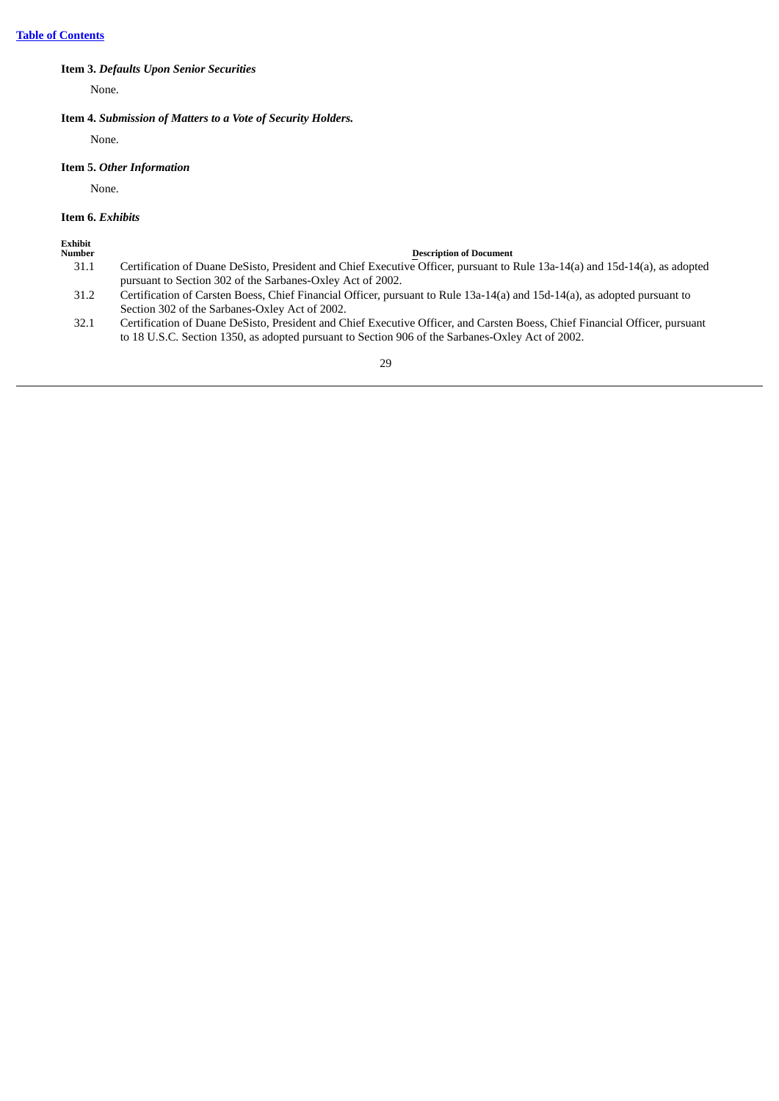### <span id="page-31-0"></span>**Item 3.** *Defaults Upon Senior Securities*

None.

#### <span id="page-31-1"></span>**Item 4.** *Submission of Matters to a Vote of Security Holders.*

None.

### <span id="page-31-2"></span>**Item 5.** *Other Information*

None.

### <span id="page-31-3"></span>**Item 6.** *Exhibits*

**Exhibit**

#### **Number Description** of **Document**

- 31.1 Certification of Duane DeSisto, President and Chief Executive Officer, pursuant to Rule 13a-14(a) and 15d-14(a), as adopted pursuant to Section 302 of the Sarbanes-Oxley Act of 2002.
- 31.2 Certification of Carsten Boess, Chief Financial Officer, pursuant to Rule 13a-14(a) and 15d-14(a), as adopted pursuant to Section 302 of the Sarbanes-Oxley Act of 2002.
- 32.1 Certification of Duane DeSisto, President and Chief Executive Officer, and Carsten Boess, Chief Financial Officer, pursuant to 18 U.S.C. Section 1350, as adopted pursuant to Section 906 of the Sarbanes-Oxley Act of 2002.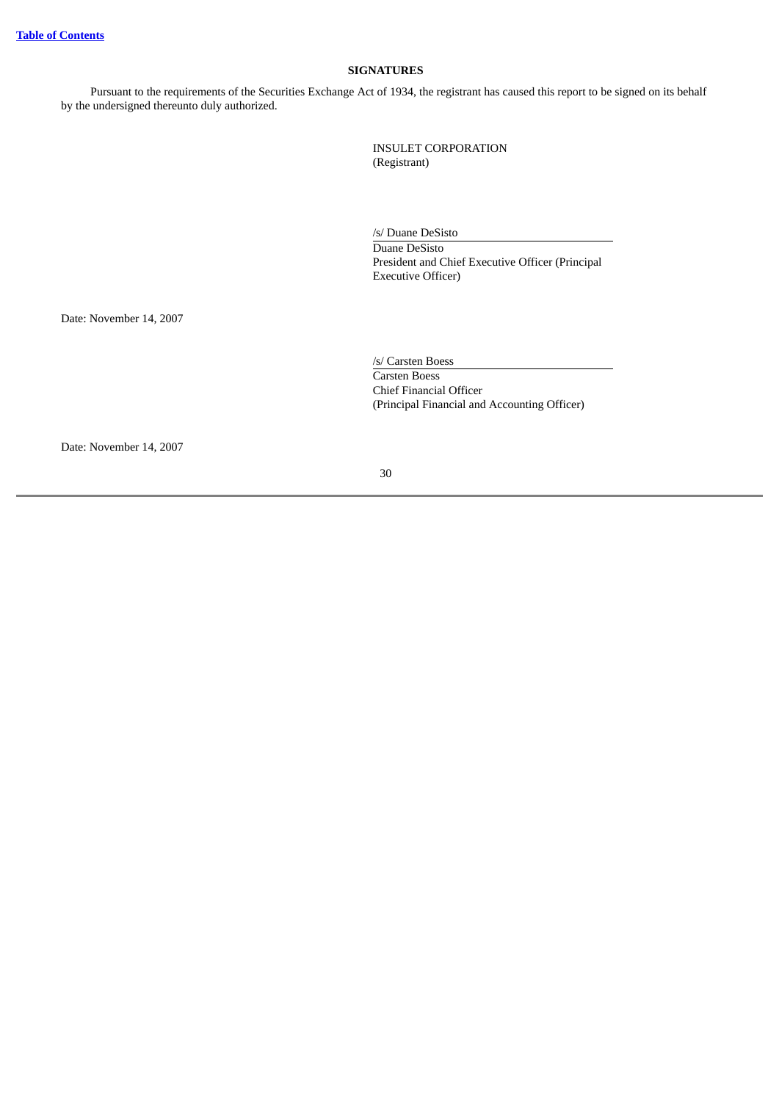### **SIGNATURES**

<span id="page-32-0"></span>Pursuant to the requirements of the Securities Exchange Act of 1934, the registrant has caused this report to be signed on its behalf by the undersigned thereunto duly authorized.

> INSULET CORPORATION (Registrant)

/s/ Duane DeSisto Duane DeSisto President and Chief Executive Officer (Principal Executive Officer)

Date: November 14, 2007

/s/ Carsten Boess Carsten Boess Chief Financial Officer (Principal Financial and Accounting Officer)

Date: November 14, 2007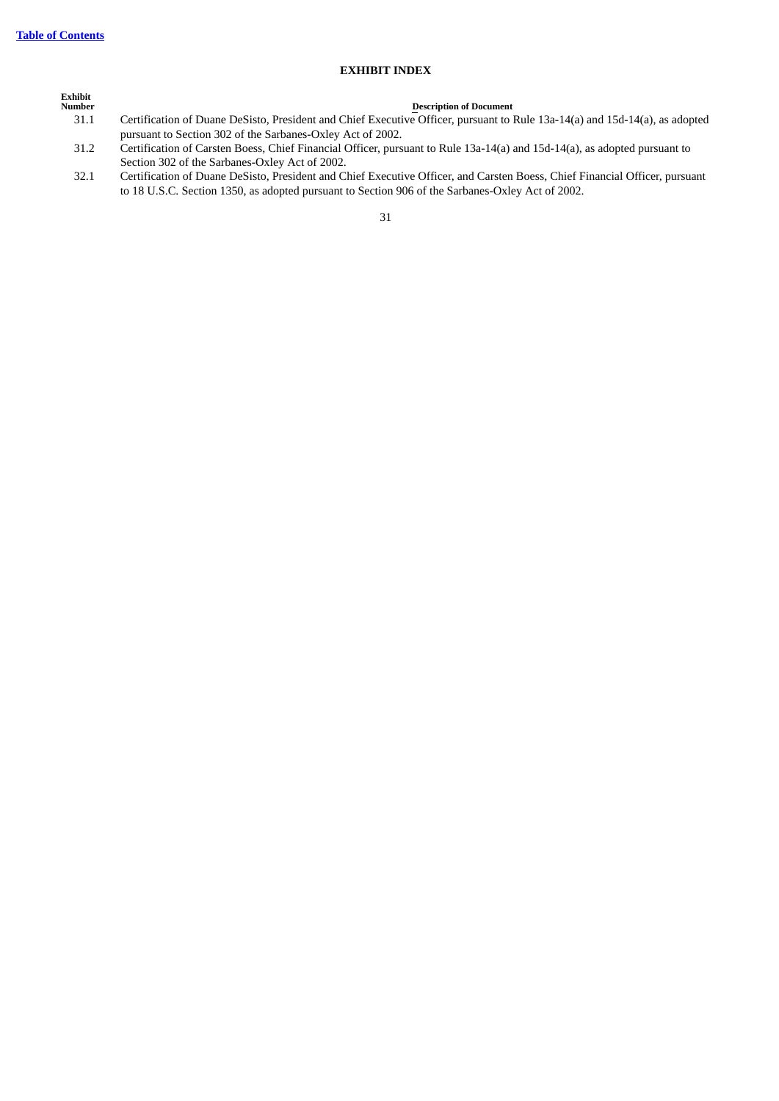### **EXHIBIT INDEX**

| Exhibit<br><b>Number</b> | <b>Description of Document</b>                                                                                              |
|--------------------------|-----------------------------------------------------------------------------------------------------------------------------|
| 31.1                     | Certification of Duane DeSisto, President and Chief Executive Officer, pursuant to Rule 13a-14(a) and 15d-14(a), as adopted |
|                          | pursuant to Section 302 of the Sarbanes-Oxley Act of 2002.                                                                  |
| 31.2                     | Certification of Carsten Boess, Chief Financial Officer, pursuant to Rule 13a-14(a) and 15d-14(a), as adopted pursuant to   |
|                          | Section 302 of the Sarbanes-Oxley Act of 2002.                                                                              |

32.1 Certification of Duane DeSisto, President and Chief Executive Officer, and Carsten Boess, Chief Financial Officer, pursuant to 18 U.S.C. Section 1350, as adopted pursuant to Section 906 of the Sarbanes-Oxley Act of 2002.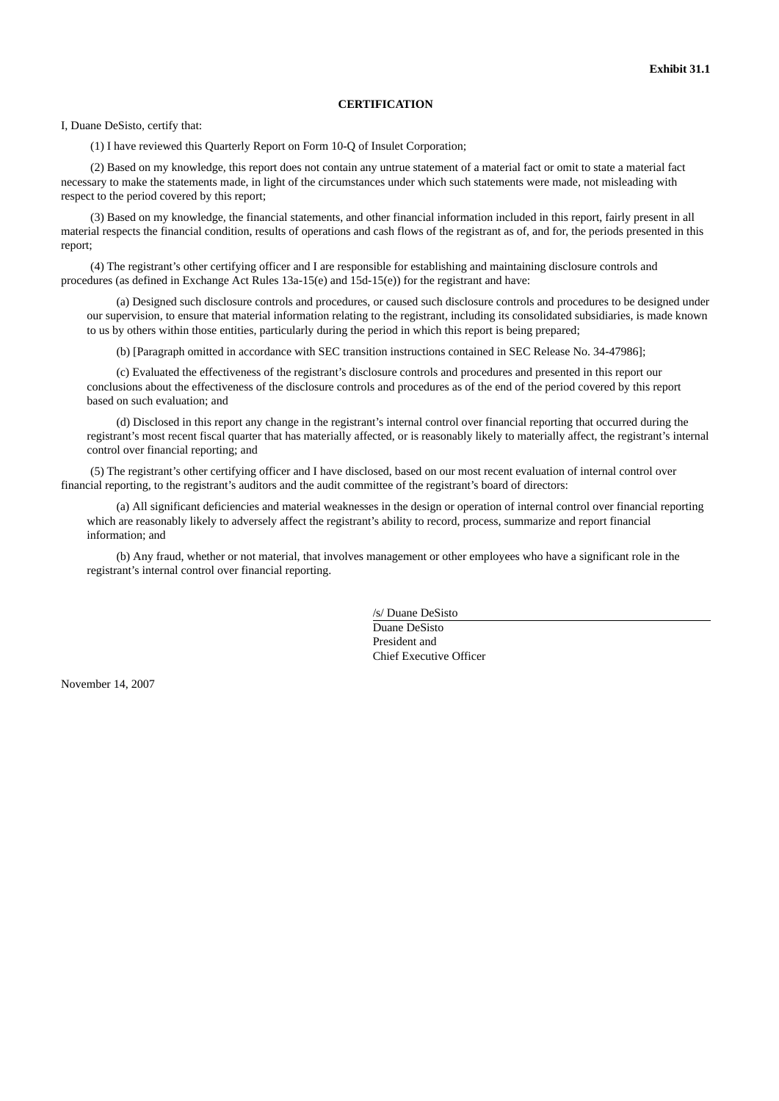#### **CERTIFICATION**

I, Duane DeSisto, certify that:

(1) I have reviewed this Quarterly Report on Form 10-Q of Insulet Corporation;

(2) Based on my knowledge, this report does not contain any untrue statement of a material fact or omit to state a material fact necessary to make the statements made, in light of the circumstances under which such statements were made, not misleading with respect to the period covered by this report;

(3) Based on my knowledge, the financial statements, and other financial information included in this report, fairly present in all material respects the financial condition, results of operations and cash flows of the registrant as of, and for, the periods presented in this report;

(4) The registrant's other certifying officer and I are responsible for establishing and maintaining disclosure controls and procedures (as defined in Exchange Act Rules 13a-15(e) and 15d-15(e)) for the registrant and have:

(a) Designed such disclosure controls and procedures, or caused such disclosure controls and procedures to be designed under our supervision, to ensure that material information relating to the registrant, including its consolidated subsidiaries, is made known to us by others within those entities, particularly during the period in which this report is being prepared;

(b) [Paragraph omitted in accordance with SEC transition instructions contained in SEC Release No. 34-47986];

(c) Evaluated the effectiveness of the registrant's disclosure controls and procedures and presented in this report our conclusions about the effectiveness of the disclosure controls and procedures as of the end of the period covered by this report based on such evaluation; and

(d) Disclosed in this report any change in the registrant's internal control over financial reporting that occurred during the registrant's most recent fiscal quarter that has materially affected, or is reasonably likely to materially affect, the registrant's internal control over financial reporting; and

(5) The registrant's other certifying officer and I have disclosed, based on our most recent evaluation of internal control over financial reporting, to the registrant's auditors and the audit committee of the registrant's board of directors:

(a) All significant deficiencies and material weaknesses in the design or operation of internal control over financial reporting which are reasonably likely to adversely affect the registrant's ability to record, process, summarize and report financial information; and

(b) Any fraud, whether or not material, that involves management or other employees who have a significant role in the registrant's internal control over financial reporting.

> /s/ Duane DeSisto Duane DeSisto President and Chief Executive Officer

November 14, 2007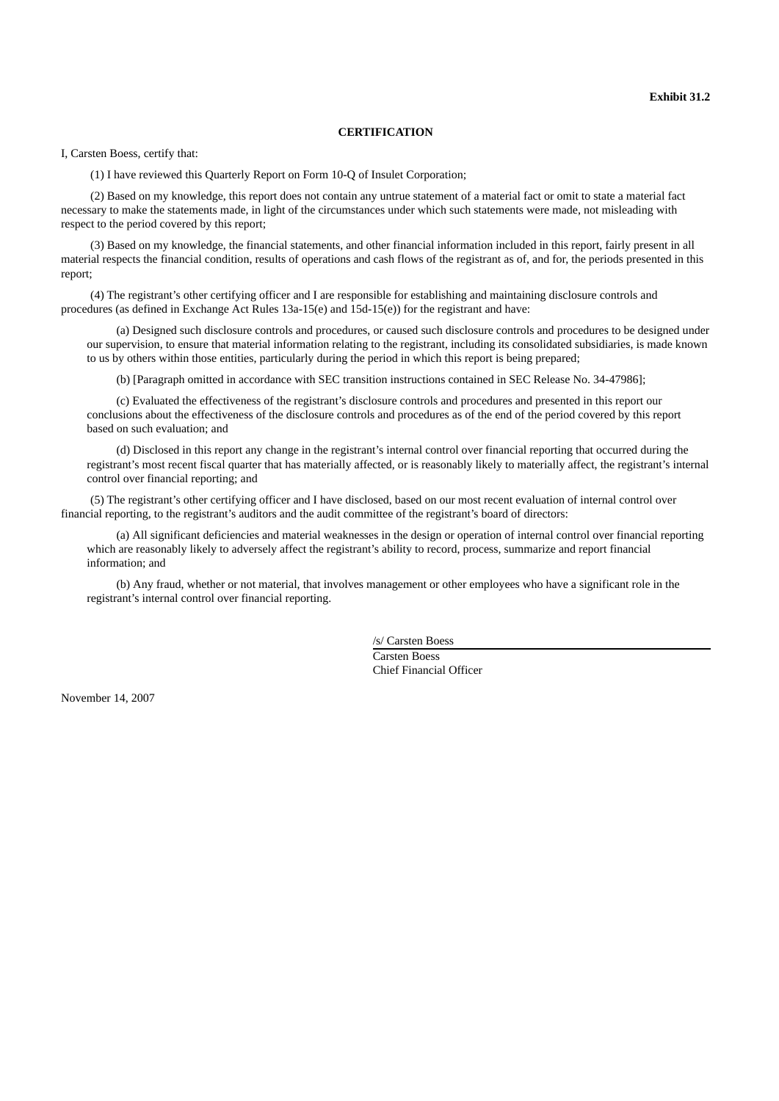#### **CERTIFICATION**

I, Carsten Boess, certify that:

(1) I have reviewed this Quarterly Report on Form 10-Q of Insulet Corporation;

(2) Based on my knowledge, this report does not contain any untrue statement of a material fact or omit to state a material fact necessary to make the statements made, in light of the circumstances under which such statements were made, not misleading with respect to the period covered by this report;

(3) Based on my knowledge, the financial statements, and other financial information included in this report, fairly present in all material respects the financial condition, results of operations and cash flows of the registrant as of, and for, the periods presented in this report;

(4) The registrant's other certifying officer and I are responsible for establishing and maintaining disclosure controls and procedures (as defined in Exchange Act Rules 13a-15(e) and 15d-15(e)) for the registrant and have:

(a) Designed such disclosure controls and procedures, or caused such disclosure controls and procedures to be designed under our supervision, to ensure that material information relating to the registrant, including its consolidated subsidiaries, is made known to us by others within those entities, particularly during the period in which this report is being prepared;

(b) [Paragraph omitted in accordance with SEC transition instructions contained in SEC Release No. 34-47986];

(c) Evaluated the effectiveness of the registrant's disclosure controls and procedures and presented in this report our conclusions about the effectiveness of the disclosure controls and procedures as of the end of the period covered by this report based on such evaluation; and

(d) Disclosed in this report any change in the registrant's internal control over financial reporting that occurred during the registrant's most recent fiscal quarter that has materially affected, or is reasonably likely to materially affect, the registrant's internal control over financial reporting; and

(5) The registrant's other certifying officer and I have disclosed, based on our most recent evaluation of internal control over financial reporting, to the registrant's auditors and the audit committee of the registrant's board of directors:

(a) All significant deficiencies and material weaknesses in the design or operation of internal control over financial reporting which are reasonably likely to adversely affect the registrant's ability to record, process, summarize and report financial information; and

(b) Any fraud, whether or not material, that involves management or other employees who have a significant role in the registrant's internal control over financial reporting.

> /s/ Carsten Boess Carsten Boess Chief Financial Officer

November 14, 2007